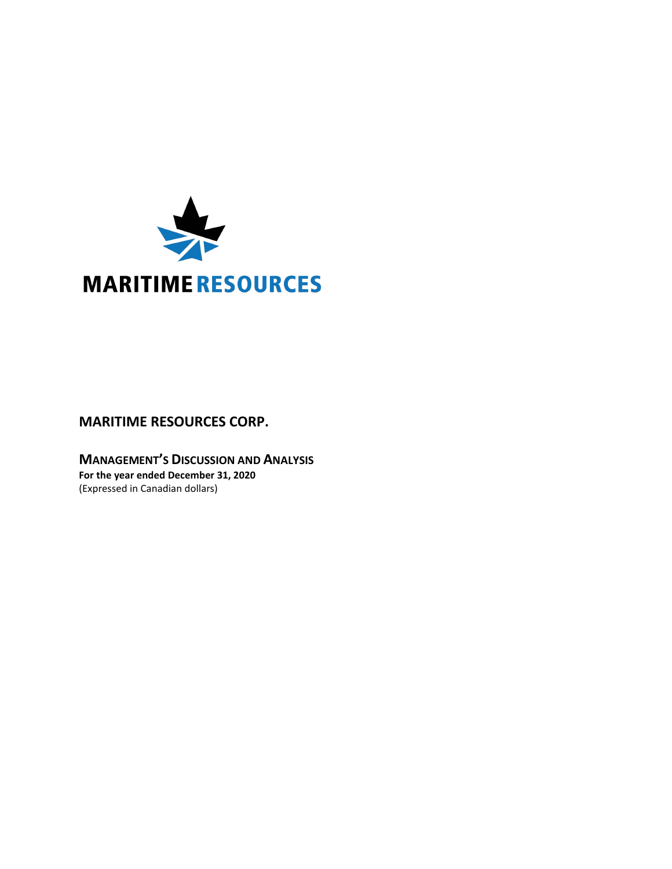

# **MARITIME RESOURCES CORP.**

**MANAGEMENT'S DISCUSSION AND ANALYSIS For the year ended December 31, 2020** (Expressed in Canadian dollars)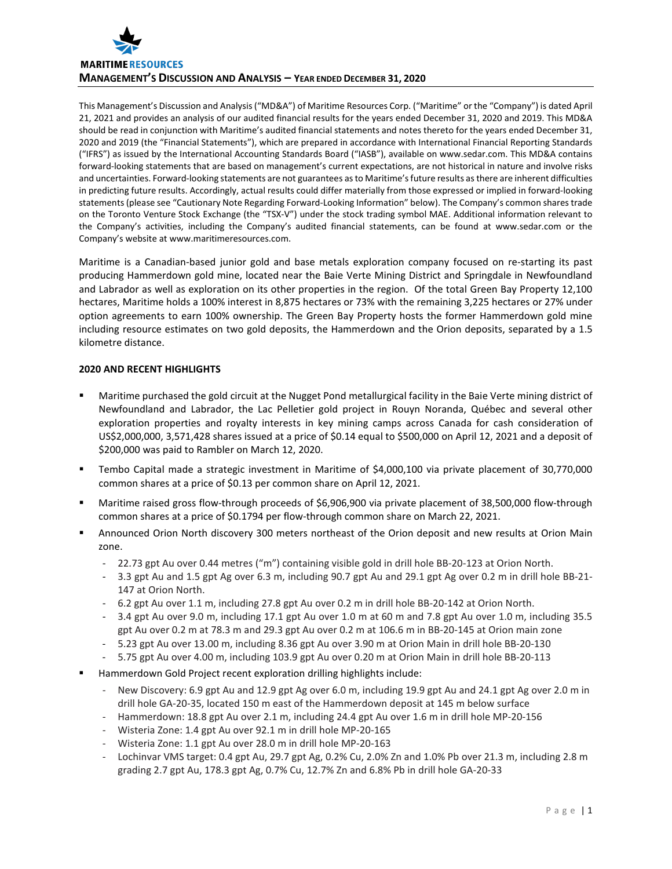

This Management's Discussion and Analysis ("MD&A") of Maritime Resources Corp. ("Maritime" or the "Company") is dated April 21, 2021 and provides an analysis of our audited financial results for the years ended December 31, 2020 and 2019. This MD&A should be read in conjunction with Maritime's audited financial statements and notes thereto for the years ended December 31, 2020 and 2019 (the "Financial Statements"), which are prepared in accordance with International Financial Reporting Standards ("IFRS") as issued by the International Accounting Standards Board ("IASB"), available on www.sedar.com. This MD&A contains forward-looking statements that are based on management's current expectations, are not historical in nature and involve risks and uncertainties. Forward-looking statements are not guarantees as to Maritime's future results as there are inherent difficulties in predicting future results. Accordingly, actual results could differ materially from those expressed or implied in forward-looking statements (please see "Cautionary Note Regarding Forward-Looking Information" below). The Company's common shares trade on the Toronto Venture Stock Exchange (the "TSX-V") under the stock trading symbol MAE. Additional information relevant to the Company's activities, including the Company's audited financial statements, can be found at www.sedar.com or the Company's website at www.maritimeresources.com.

Maritime is a Canadian-based junior gold and base metals exploration company focused on re-starting its past producing Hammerdown gold mine, located near the Baie Verte Mining District and Springdale in Newfoundland and Labrador as well as exploration on its other properties in the region. Of the total Green Bay Property 12,100 hectares, Maritime holds a 100% interest in 8,875 hectares or 73% with the remaining 3,225 hectares or 27% under option agreements to earn 100% ownership. The Green Bay Property hosts the former Hammerdown gold mine including resource estimates on two gold deposits, the Hammerdown and the Orion deposits, separated by a 1.5 kilometre distance.

## **2020 AND RECENT HIGHLIGHTS**

- Maritime purchased the gold circuit at the Nugget Pond metallurgical facility in the Baie Verte mining district of Newfoundland and Labrador, the Lac Pelletier gold project in Rouyn Noranda, Québec and several other exploration properties and royalty interests in key mining camps across Canada for cash consideration of US\$2,000,000, 3,571,428 shares issued at a price of \$0.14 equal to \$500,000 on April 12, 2021 and a deposit of \$200,000 was paid to Rambler on March 12, 2020.
- Tembo Capital made a strategic investment in Maritime of \$4,000,100 via private placement of 30,770,000 common shares at a price of \$0.13 per common share on April 12, 2021.
- Maritime raised gross flow-through proceeds of \$6,906,900 via private placement of 38,500,000 flow-through common shares at a price of \$0.1794 per flow-through common share on March 22, 2021.
- Announced Orion North discovery 300 meters northeast of the Orion deposit and new results at Orion Main zone.
	- 22.73 gpt Au over 0.44 metres ("m") containing visible gold in drill hole BB-20-123 at Orion North.
	- 3.3 gpt Au and 1.5 gpt Ag over 6.3 m, including 90.7 gpt Au and 29.1 gpt Ag over 0.2 m in drill hole BB-21- 147 at Orion North.
	- 6.2 gpt Au over 1.1 m, including 27.8 gpt Au over 0.2 m in drill hole BB-20-142 at Orion North.
	- 3.4 gpt Au over 9.0 m, including 17.1 gpt Au over 1.0 m at 60 m and 7.8 gpt Au over 1.0 m, including 35.5 gpt Au over 0.2 m at 78.3 m and 29.3 gpt Au over 0.2 m at 106.6 m in BB-20-145 at Orion main zone
	- 5.23 gpt Au over 13.00 m, including 8.36 gpt Au over 3.90 m at Orion Main in drill hole BB-20-130
	- 5.75 gpt Au over 4.00 m, including 103.9 gpt Au over 0.20 m at Orion Main in drill hole BB-20-113
- Hammerdown Gold Project recent exploration drilling highlights include:
	- New Discovery: 6.9 gpt Au and 12.9 gpt Ag over 6.0 m, including 19.9 gpt Au and 24.1 gpt Ag over 2.0 m in drill hole GA-20-35, located 150 m east of the Hammerdown deposit at 145 m below surface
	- Hammerdown: 18.8 gpt Au over 2.1 m, including 24.4 gpt Au over 1.6 m in drill hole MP-20-156
	- Wisteria Zone: 1.4 gpt Au over 92.1 m in drill hole MP-20-165
	- Wisteria Zone: 1.1 gpt Au over 28.0 m in drill hole MP-20-163
	- Lochinvar VMS target: 0.4 gpt Au, 29.7 gpt Ag, 0.2% Cu, 2.0% Zn and 1.0% Pb over 21.3 m, including 2.8 m grading 2.7 gpt Au, 178.3 gpt Ag, 0.7% Cu, 12.7% Zn and 6.8% Pb in drill hole GA-20-33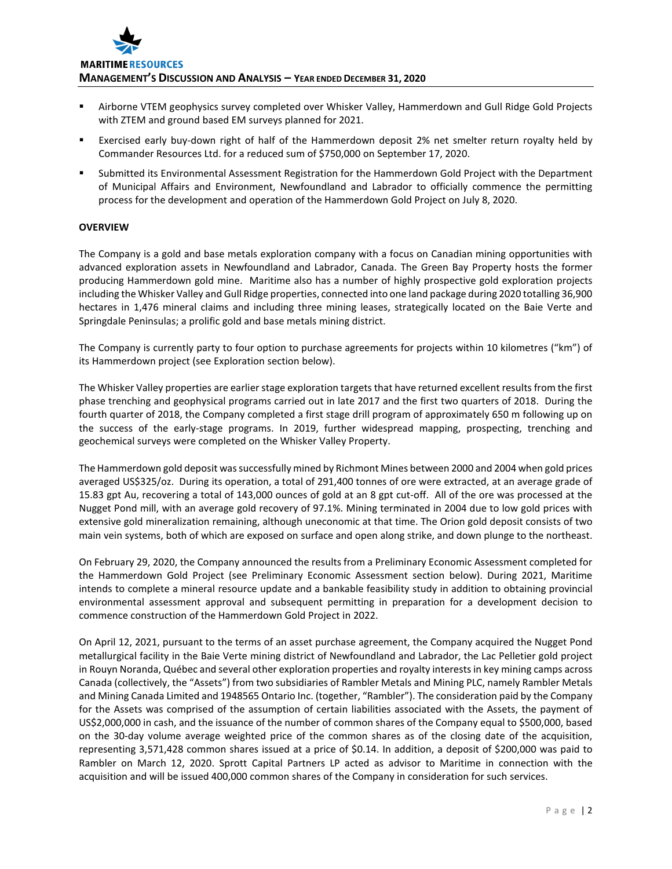

- Airborne VTEM geophysics survey completed over Whisker Valley, Hammerdown and Gull Ridge Gold Projects with ZTEM and ground based EM surveys planned for 2021.
- Exercised early buy-down right of half of the Hammerdown deposit 2% net smelter return royalty held by Commander Resources Ltd. for a reduced sum of \$750,000 on September 17, 2020.
- Submitted its Environmental Assessment Registration for the Hammerdown Gold Project with the Department of Municipal Affairs and Environment, Newfoundland and Labrador to officially commence the permitting process for the development and operation of the Hammerdown Gold Project on July 8, 2020.

## **OVERVIEW**

The Company is a gold and base metals exploration company with a focus on Canadian mining opportunities with advanced exploration assets in Newfoundland and Labrador, Canada. The Green Bay Property hosts the former producing Hammerdown gold mine. Maritime also has a number of highly prospective gold exploration projects including the Whisker Valley and Gull Ridge properties, connected into one land package during 2020 totalling 36,900 hectares in 1,476 mineral claims and including three mining leases, strategically located on the Baie Verte and Springdale Peninsulas; a prolific gold and base metals mining district.

The Company is currently party to four option to purchase agreements for projects within 10 kilometres ("km") of its Hammerdown project (see Exploration section below).

The Whisker Valley properties are earlier stage exploration targets that have returned excellent results from the first phase trenching and geophysical programs carried out in late 2017 and the first two quarters of 2018. During the fourth quarter of 2018, the Company completed a first stage drill program of approximately 650 m following up on the success of the early-stage programs. In 2019, further widespread mapping, prospecting, trenching and geochemical surveys were completed on the Whisker Valley Property.

The Hammerdown gold deposit was successfully mined by Richmont Mines between 2000 and 2004 when gold prices averaged US\$325/oz. During its operation, a total of 291,400 tonnes of ore were extracted, at an average grade of 15.83 gpt Au, recovering a total of 143,000 ounces of gold at an 8 gpt cut-off. All of the ore was processed at the Nugget Pond mill, with an average gold recovery of 97.1%. Mining terminated in 2004 due to low gold prices with extensive gold mineralization remaining, although uneconomic at that time. The Orion gold deposit consists of two main vein systems, both of which are exposed on surface and open along strike, and down plunge to the northeast.

On February 29, 2020, the Company announced the results from a Preliminary Economic Assessment completed for the Hammerdown Gold Project (see Preliminary Economic Assessment section below). During 2021, Maritime intends to complete a mineral resource update and a bankable feasibility study in addition to obtaining provincial environmental assessment approval and subsequent permitting in preparation for a development decision to commence construction of the Hammerdown Gold Project in 2022.

On April 12, 2021, pursuant to the terms of an asset purchase agreement, the Company acquired the Nugget Pond metallurgical facility in the Baie Verte mining district of Newfoundland and Labrador, the Lac Pelletier gold project in Rouyn Noranda, Québec and several other exploration properties and royalty interests in key mining camps across Canada (collectively, the "Assets") from two subsidiaries of Rambler Metals and Mining PLC, namely Rambler Metals and Mining Canada Limited and 1948565 Ontario Inc. (together, "Rambler"). The consideration paid by the Company for the Assets was comprised of the assumption of certain liabilities associated with the Assets, the payment of US\$2,000,000 in cash, and the issuance of the number of common shares of the Company equal to \$500,000, based on the 30-day volume average weighted price of the common shares as of the closing date of the acquisition, representing 3,571,428 common shares issued at a price of \$0.14. In addition, a deposit of \$200,000 was paid to Rambler on March 12, 2020. Sprott Capital Partners LP acted as advisor to Maritime in connection with the acquisition and will be issued 400,000 common shares of the Company in consideration for such services.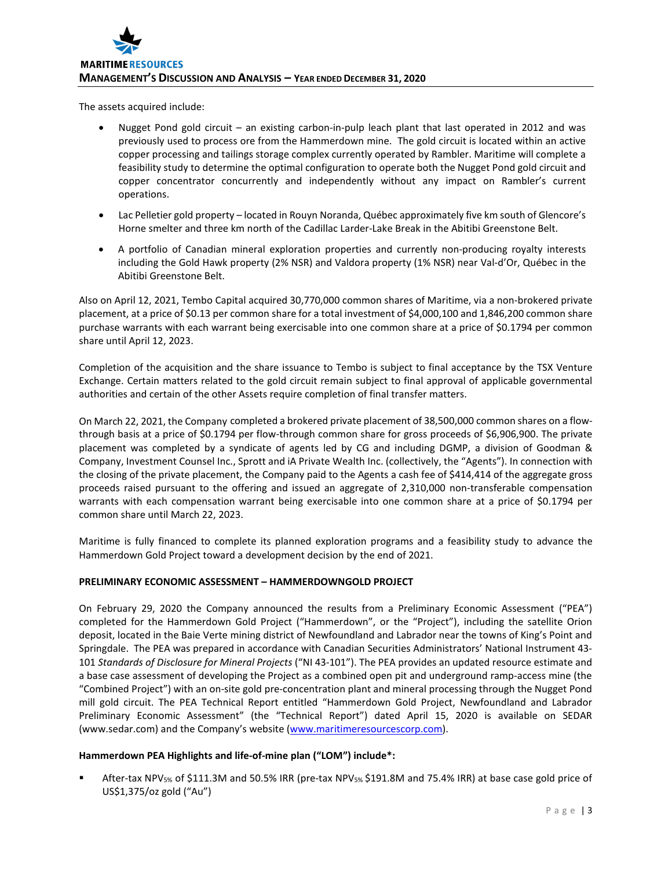The assets acquired include:

- Nugget Pond gold circuit an existing carbon-in-pulp leach plant that last operated in 2012 and was previously used to process ore from the Hammerdown mine. The gold circuit is located within an active copper processing and tailings storage complex currently operated by Rambler. Maritime will complete a feasibility study to determine the optimal configuration to operate both the Nugget Pond gold circuit and copper concentrator concurrently and independently without any impact on Rambler's current operations.
- Lac Pelletier gold property located in Rouyn Noranda, Québec approximately five km south of Glencore's Horne smelter and three km north of the Cadillac Larder-Lake Break in the Abitibi Greenstone Belt.
- A portfolio of Canadian mineral exploration properties and currently non-producing royalty interests including the Gold Hawk property (2% NSR) and Valdora property (1% NSR) near Val-d'Or, Québec in the Abitibi Greenstone Belt.

Also on April 12, 2021, Tembo Capital acquired 30,770,000 common shares of Maritime, via a non-brokered private placement, at a price of \$0.13 per common share for a total investment of \$4,000,100 and 1,846,200 common share purchase warrants with each warrant being exercisable into one common share at a price of \$0.1794 per common share until April 12, 2023.

Completion of the acquisition and the share issuance to Tembo is subject to final acceptance by the TSX Venture Exchange. Certain matters related to the gold circuit remain subject to final approval of applicable governmental authorities and certain of the other Assets require completion of final transfer matters.

On March 22, 2021, the Company completed a brokered private placement of 38,500,000 common shares on a flowthrough basis at a price of \$0.1794 per flow-through common share for gross proceeds of \$6,906,900. The private placement was completed by a syndicate of agents led by CG and including DGMP, a division of Goodman & Company, Investment Counsel Inc., Sprott and iA Private Wealth Inc. (collectively, the "Agents"). In connection with the closing of the private placement, the Company paid to the Agents a cash fee of \$414,414 of the aggregate gross proceeds raised pursuant to the offering and issued an aggregate of 2,310,000 non-transferable compensation warrants with each compensation warrant being exercisable into one common share at a price of \$0.1794 per common share until March 22, 2023.

Maritime is fully financed to complete its planned exploration programs and a feasibility study to advance the Hammerdown Gold Project toward a development decision by the end of 2021.

# **PRELIMINARY ECONOMIC ASSESSMENT – HAMMERDOWNGOLD PROJECT**

On February 29, 2020 the Company announced the results from a Preliminary Economic Assessment ("PEA") completed for the Hammerdown Gold Project ("Hammerdown", or the "Project"), including the satellite Orion deposit, located in the Baie Verte mining district of Newfoundland and Labrador near the towns of King's Point and Springdale. The PEA was prepared in accordance with Canadian Securities Administrators' National Instrument 43- 101 *Standards of Disclosure for Mineral Projects* ("NI 43-101"). The PEA provides an updated resource estimate and a base case assessment of developing the Project as a combined open pit and underground ramp-access mine (the "Combined Project") with an on-site gold pre-concentration plant and mineral processing through the Nugget Pond mill gold circuit. The PEA Technical Report entitled "Hammerdown Gold Project, Newfoundland and Labrador Preliminary Economic Assessment" (the "Technical Report") dated April 15, 2020 is available on SEDAR (www.sedar.com) and the Company's website [\(www.maritimeresourcescorp.com\)](http://www.maritimegold.com/).

# **Hammerdown PEA Highlights and life-of-mine plan ("LOM") include\*:**

 After-tax NPV5% of \$111.3M and 50.5% IRR (pre-tax NPV5% \$191.8M and 75.4% IRR) at base case gold price of US\$1,375/oz gold ("Au")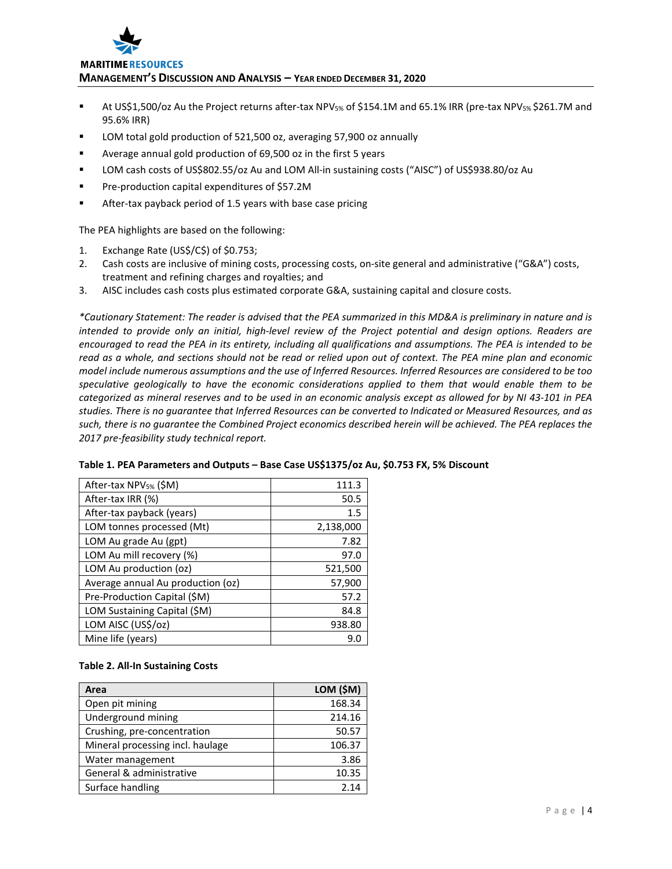

#### **MARITIME RESOURCES**

**MANAGEMENT'S DISCUSSION AND ANALYSIS – YEAR ENDED DECEMBER 31, 2020**

- **At US\$1,500/oz Au the Project returns after-tax NPV<sub>5%</sub> of \$154.1M and 65.1% IRR (pre-tax NPV<sub>5%</sub> \$261.7M and** 95.6% IRR)
- LOM total gold production of 521,500 oz, averaging 57,900 oz annually
- Average annual gold production of 69,500 oz in the first 5 years
- LOM cash costs of US\$802.55/oz Au and LOM All-in sustaining costs ("AISC") of US\$938.80/oz Au
- **Pre-production capital expenditures of \$57.2M**
- After-tax payback period of 1.5 years with base case pricing

The PEA highlights are based on the following:

- 1. Exchange Rate (US\$/C\$) of \$0.753;
- 2. Cash costs are inclusive of mining costs, processing costs, on-site general and administrative ("G&A") costs, treatment and refining charges and royalties; and
- 3. AISC includes cash costs plus estimated corporate G&A, sustaining capital and closure costs.

*\*Cautionary Statement: The reader is advised that the PEA summarized in this MD&A is preliminary in nature and is intended to provide only an initial, high-level review of the Project potential and design options. Readers are encouraged to read the PEA in its entirety, including all qualifications and assumptions. The PEA is intended to be read as a whole, and sections should not be read or relied upon out of context. The PEA mine plan and economic model include numerous assumptions and the use of Inferred Resources. Inferred Resources are considered to be too speculative geologically to have the economic considerations applied to them that would enable them to be categorized as mineral reserves and to be used in an economic analysis except as allowed for by NI 43-101 in PEA studies. There is no guarantee that Inferred Resources can be converted to Indicated or Measured Resources, and as such, there is no guarantee the Combined Project economics described herein will be achieved. The PEA replaces the 2017 pre-feasibility study technical report.*

| After-tax NPV <sub>5%</sub> (\$M) | 111.3     |
|-----------------------------------|-----------|
| After-tax IRR (%)                 | 50.5      |
| After-tax payback (years)         | 1.5       |
| LOM tonnes processed (Mt)         | 2,138,000 |
| LOM Au grade Au (gpt)             | 7.82      |
| LOM Au mill recovery (%)          | 97.0      |
| LOM Au production (oz)            | 521,500   |
| Average annual Au production (oz) | 57,900    |
| Pre-Production Capital (\$M)      | 57.2      |
| LOM Sustaining Capital (\$M)      | 84.8      |
| LOM AISC (US\$/oz)                | 938.80    |
| Mine life (years)                 | 9.0       |

# **Table 1. PEA Parameters and Outputs – Base Case US\$1375/oz Au, \$0.753 FX, 5% Discount**

### **Table 2. All-In Sustaining Costs**

| Area                             | LOM (\$M) |
|----------------------------------|-----------|
| Open pit mining                  | 168.34    |
| Underground mining               | 214.16    |
| Crushing, pre-concentration      | 50.57     |
| Mineral processing incl. haulage | 106.37    |
| Water management                 | 3.86      |
| General & administrative         | 10.35     |
| Surface handling                 | 2.14      |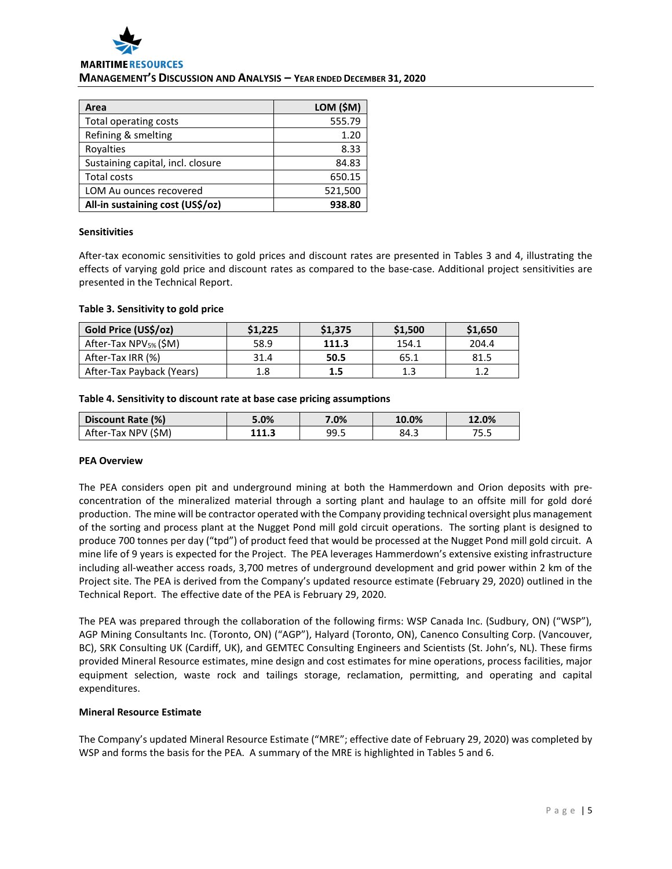

# **MANAGEMENT'S DISCUSSION AND ANALYSIS – YEAR ENDED DECEMBER 31, 2020**

| Area                              | LOM (\$M) |
|-----------------------------------|-----------|
| <b>Total operating costs</b>      | 555.79    |
| Refining & smelting               | 1.20      |
| Rovalties                         | 8.33      |
| Sustaining capital, incl. closure | 84.83     |
| <b>Total costs</b>                | 650.15    |
| <b>LOM Au ounces recovered</b>    | 521,500   |
| All-in sustaining cost (US\$/oz)  | 938.80    |

### **Sensitivities**

After-tax economic sensitivities to gold prices and discount rates are presented in Tables 3 and 4, illustrating the effects of varying gold price and discount rates as compared to the base-case. Additional project sensitivities are presented in the Technical Report.

#### **Table 3. Sensitivity to gold price**

| Gold Price (US\$/oz)              | \$1.225 | \$1.375 | \$1,500 | \$1,650 |
|-----------------------------------|---------|---------|---------|---------|
| After-Tax NPV <sub>5%</sub> (\$M) | 58.9    | 111.3   | 154.1   | 204.4   |
| After-Tax IRR (%)                 | 31.4    | 50.5    | 65.1    | 81.5    |
| After-Tax Payback (Years)         |         | 1.5     | 1.3     | 1.7     |

#### **Table 4. Sensitivity to discount rate at base case pricing assumptions**

| Discount Rate (%)   | 5.0%  | 7.0% | 10.0% | 12.0% |
|---------------------|-------|------|-------|-------|
| After-Tax NPV (\$M) | 111.3 | 99.5 | 84.3  | 75.5  |

### **PEA Overview**

The PEA considers open pit and underground mining at both the Hammerdown and Orion deposits with preconcentration of the mineralized material through a sorting plant and haulage to an offsite mill for gold doré production. The mine will be contractor operated with the Company providing technical oversight plus management of the sorting and process plant at the Nugget Pond mill gold circuit operations. The sorting plant is designed to produce 700 tonnes per day ("tpd") of product feed that would be processed at the Nugget Pond mill gold circuit. A mine life of 9 years is expected for the Project. The PEA leverages Hammerdown's extensive existing infrastructure including all-weather access roads, 3,700 metres of underground development and grid power within 2 km of the Project site. The PEA is derived from the Company's updated resource estimate (February 29, 2020) outlined in the Technical Report. The effective date of the PEA is February 29, 2020.

The PEA was prepared through the collaboration of the following firms: WSP Canada Inc. (Sudbury, ON) ("WSP"), AGP Mining Consultants Inc. (Toronto, ON) ("AGP"), Halyard (Toronto, ON), Canenco Consulting Corp. (Vancouver, BC), SRK Consulting UK (Cardiff, UK), and GEMTEC Consulting Engineers and Scientists (St. John's, NL). These firms provided Mineral Resource estimates, mine design and cost estimates for mine operations, process facilities, major equipment selection, waste rock and tailings storage, reclamation, permitting, and operating and capital expenditures.

### **Mineral Resource Estimate**

The Company's updated Mineral Resource Estimate ("MRE"; effective date of February 29, 2020) was completed by WSP and forms the basis for the PEA. A summary of the MRE is highlighted in Tables 5 and 6.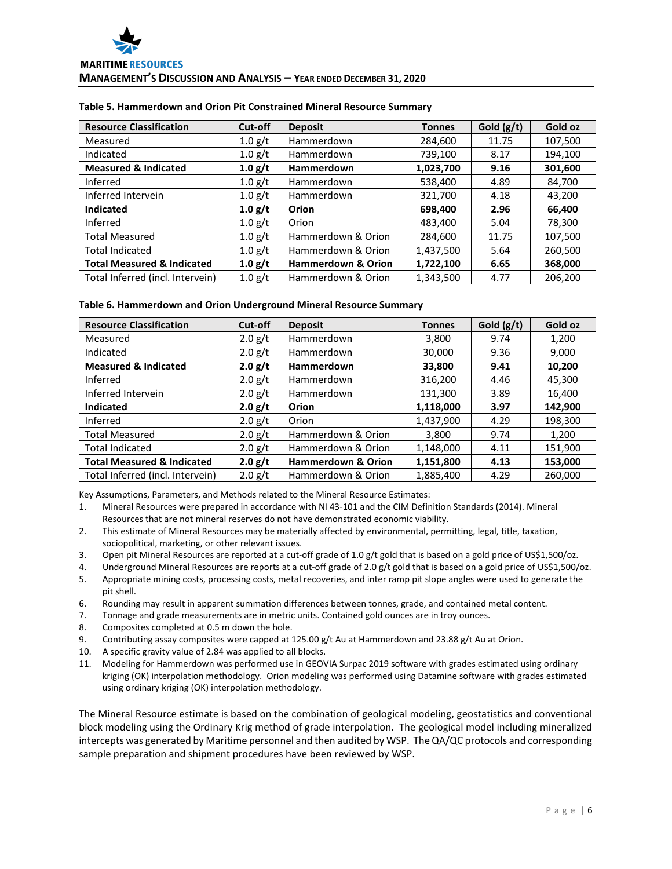| <b>Resource Classification</b>        | Cut-off   | <b>Deposit</b>                | <b>Tonnes</b> | Gold $(g/t)$ | Gold oz |
|---------------------------------------|-----------|-------------------------------|---------------|--------------|---------|
| Measured                              | 1.0 g/t   | Hammerdown                    | 284,600       | 11.75        | 107,500 |
| Indicated                             | $1.0$ g/t | Hammerdown                    | 739,100       | 8.17         | 194,100 |
| <b>Measured &amp; Indicated</b>       | 1.0 g/t   | <b>Hammerdown</b>             | 1,023,700     | 9.16         | 301,600 |
| Inferred                              | $1.0$ g/t | Hammerdown                    | 538,400       | 4.89         | 84,700  |
| Inferred Intervein                    | $1.0$ g/t | Hammerdown                    | 321,700       | 4.18         | 43,200  |
| <b>Indicated</b>                      | 1.0 g/t   | Orion                         | 698,400       | 2.96         | 66,400  |
| Inferred                              | 1.0 $g/t$ | Orion                         | 483,400       | 5.04         | 78,300  |
| <b>Total Measured</b>                 | $1.0$ g/t | Hammerdown & Orion            | 284,600       | 11.75        | 107,500 |
| <b>Total Indicated</b>                | $1.0$ g/t | Hammerdown & Orion            | 1,437,500     | 5.64         | 260,500 |
| <b>Total Measured &amp; Indicated</b> | 1.0 g/t   | <b>Hammerdown &amp; Orion</b> | 1,722,100     | 6.65         | 368,000 |
| Total Inferred (incl. Intervein)      | 1.0 g/t   | Hammerdown & Orion            | 1,343,500     | 4.77         | 206,200 |

## **Table 5. Hammerdown and Orion Pit Constrained Mineral Resource Summary**

### **Table 6. Hammerdown and Orion Underground Mineral Resource Summary**

| <b>Resource Classification</b>        | Cut-off   | <b>Deposit</b>                | <b>Tonnes</b> | Gold $(g/t)$ | Gold oz |
|---------------------------------------|-----------|-------------------------------|---------------|--------------|---------|
| Measured                              | 2.0 g/t   | Hammerdown                    | 3,800         | 9.74         | 1,200   |
| Indicated                             | 2.0 g/t   | Hammerdown                    | 30,000        | 9.36         | 9,000   |
| <b>Measured &amp; Indicated</b>       | 2.0 g/t   | Hammerdown                    | 33,800        | 9.41         | 10,200  |
| Inferred                              | $2.0$ g/t | Hammerdown                    | 316,200       | 4.46         | 45,300  |
| Inferred Intervein                    | 2.0 g/t   | <b>Hammerdown</b>             | 131,300       | 3.89         | 16,400  |
| <b>Indicated</b>                      | 2.0 g/t   | Orion                         | 1,118,000     | 3.97         | 142,900 |
| Inferred                              | 2.0 g/t   | Orion                         | 1,437,900     | 4.29         | 198,300 |
| <b>Total Measured</b>                 | 2.0 g/t   | Hammerdown & Orion            | 3,800         | 9.74         | 1,200   |
| <b>Total Indicated</b>                | 2.0 g/t   | Hammerdown & Orion            | 1,148,000     | 4.11         | 151,900 |
| <b>Total Measured &amp; Indicated</b> | 2.0 g/t   | <b>Hammerdown &amp; Orion</b> | 1,151,800     | 4.13         | 153,000 |
| Total Inferred (incl. Intervein)      | $2.0$ g/t | Hammerdown & Orion            | 1,885,400     | 4.29         | 260,000 |

Key Assumptions, Parameters, and Methods related to the Mineral Resource Estimates:

- 1. Mineral Resources were prepared in accordance with NI 43-101 and the CIM Definition Standards (2014). Mineral Resources that are not mineral reserves do not have demonstrated economic viability.
- 2. This estimate of Mineral Resources may be materially affected by environmental, permitting, legal, title, taxation, sociopolitical, marketing, or other relevant issues.
- 3. Open pit Mineral Resources are reported at a cut-off grade of 1.0 g/t gold that is based on a gold price of US\$1,500/oz.
- 4. Underground Mineral Resources are reports at a cut-off grade of 2.0 g/t gold that is based on a gold price of US\$1,500/oz.
- 5. Appropriate mining costs, processing costs, metal recoveries, and inter ramp pit slope angles were used to generate the pit shell.
- 6. Rounding may result in apparent summation differences between tonnes, grade, and contained metal content.
- 7. Tonnage and grade measurements are in metric units. Contained gold ounces are in troy ounces.
- 8. Composites completed at 0.5 m down the hole.
- 9. Contributing assay composites were capped at 125.00 g/t Au at Hammerdown and 23.88 g/t Au at Orion.
- 10. A specific gravity value of 2.84 was applied to all blocks.
- 11. Modeling for Hammerdown was performed use in GEOVIA Surpac 2019 software with grades estimated using ordinary kriging (OK) interpolation methodology. Orion modeling was performed using Datamine software with grades estimated using ordinary kriging (OK) interpolation methodology.

The Mineral Resource estimate is based on the combination of geological modeling, geostatistics and conventional block modeling using the Ordinary Krig method of grade interpolation. The geological model including mineralized intercepts was generated by Maritime personnel and then audited by WSP. The QA/QC protocols and corresponding sample preparation and shipment procedures have been reviewed by WSP.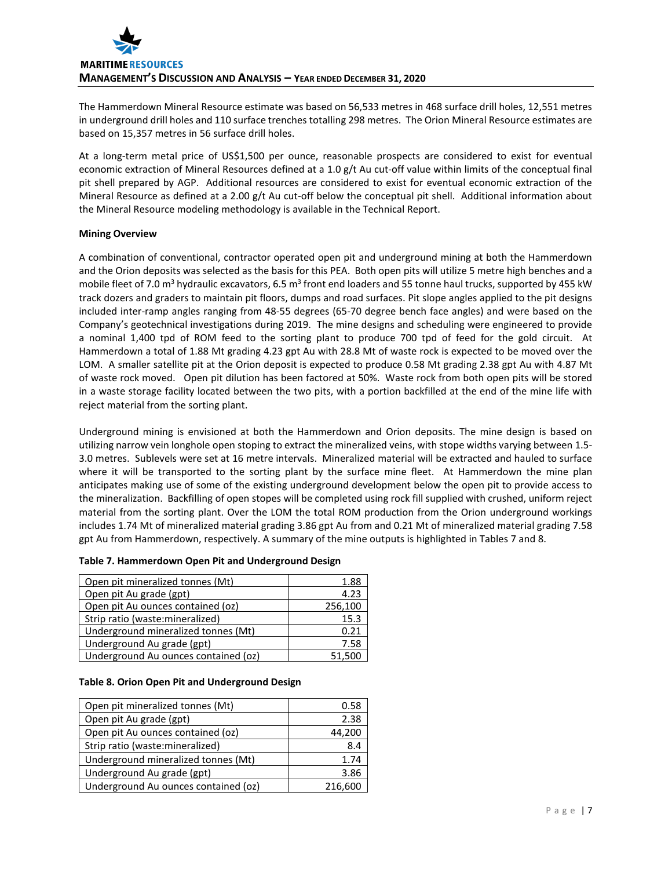The Hammerdown Mineral Resource estimate was based on 56,533 metres in 468 surface drill holes, 12,551 metres in underground drill holes and 110 surface trenches totalling 298 metres. The Orion Mineral Resource estimates are based on 15,357 metres in 56 surface drill holes.

At a long-term metal price of US\$1,500 per ounce, reasonable prospects are considered to exist for eventual economic extraction of Mineral Resources defined at a 1.0 g/t Au cut-off value within limits of the conceptual final pit shell prepared by AGP. Additional resources are considered to exist for eventual economic extraction of the Mineral Resource as defined at a 2.00 g/t Au cut-off below the conceptual pit shell. Additional information about the Mineral Resource modeling methodology is available in the Technical Report.

## **Mining Overview**

A combination of conventional, contractor operated open pit and underground mining at both the Hammerdown and the Orion deposits was selected as the basis for this PEA. Both open pits will utilize 5 metre high benches and a mobile fleet of 7.0 m<sup>3</sup> hydraulic excavators, 6.5 m<sup>3</sup> front end loaders and 55 tonne haul trucks, supported by 455 kW track dozers and graders to maintain pit floors, dumps and road surfaces. Pit slope angles applied to the pit designs included inter-ramp angles ranging from 48-55 degrees (65-70 degree bench face angles) and were based on the Company's geotechnical investigations during 2019. The mine designs and scheduling were engineered to provide a nominal 1,400 tpd of ROM feed to the sorting plant to produce 700 tpd of feed for the gold circuit. At Hammerdown a total of 1.88 Mt grading 4.23 gpt Au with 28.8 Mt of waste rock is expected to be moved over the LOM. A smaller satellite pit at the Orion deposit is expected to produce 0.58 Mt grading 2.38 gpt Au with 4.87 Mt of waste rock moved. Open pit dilution has been factored at 50%. Waste rock from both open pits will be stored in a waste storage facility located between the two pits, with a portion backfilled at the end of the mine life with reject material from the sorting plant.

Underground mining is envisioned at both the Hammerdown and Orion deposits. The mine design is based on utilizing narrow vein longhole open stoping to extract the mineralized veins, with stope widths varying between 1.5- 3.0 metres. Sublevels were set at 16 metre intervals. Mineralized material will be extracted and hauled to surface where it will be transported to the sorting plant by the surface mine fleet. At Hammerdown the mine plan anticipates making use of some of the existing underground development below the open pit to provide access to the mineralization. Backfilling of open stopes will be completed using rock fill supplied with crushed, uniform reject material from the sorting plant. Over the LOM the total ROM production from the Orion underground workings includes 1.74 Mt of mineralized material grading 3.86 gpt Au from and 0.21 Mt of mineralized material grading 7.58 gpt Au from Hammerdown, respectively. A summary of the mine outputs is highlighted in Tables 7 and 8.

| Open pit mineralized tonnes (Mt)     | 1.88    |
|--------------------------------------|---------|
| Open pit Au grade (gpt)              | 4.23    |
| Open pit Au ounces contained (oz)    | 256,100 |
| Strip ratio (waste: mineralized)     | 15.3    |
| Underground mineralized tonnes (Mt)  | 0.21    |
| Underground Au grade (gpt)           | 7.58    |
| Underground Au ounces contained (oz) |         |

### **Table 7. Hammerdown Open Pit and Underground Design**

### **Table 8. Orion Open Pit and Underground Design**

| Open pit mineralized tonnes (Mt)     | 0.58    |
|--------------------------------------|---------|
| Open pit Au grade (gpt)              | 2.38    |
| Open pit Au ounces contained (oz)    | 44,200  |
| Strip ratio (waste: mineralized)     | 8.4     |
| Underground mineralized tonnes (Mt)  | 1.74    |
| Underground Au grade (gpt)           | 3.86    |
| Underground Au ounces contained (oz) | 216,600 |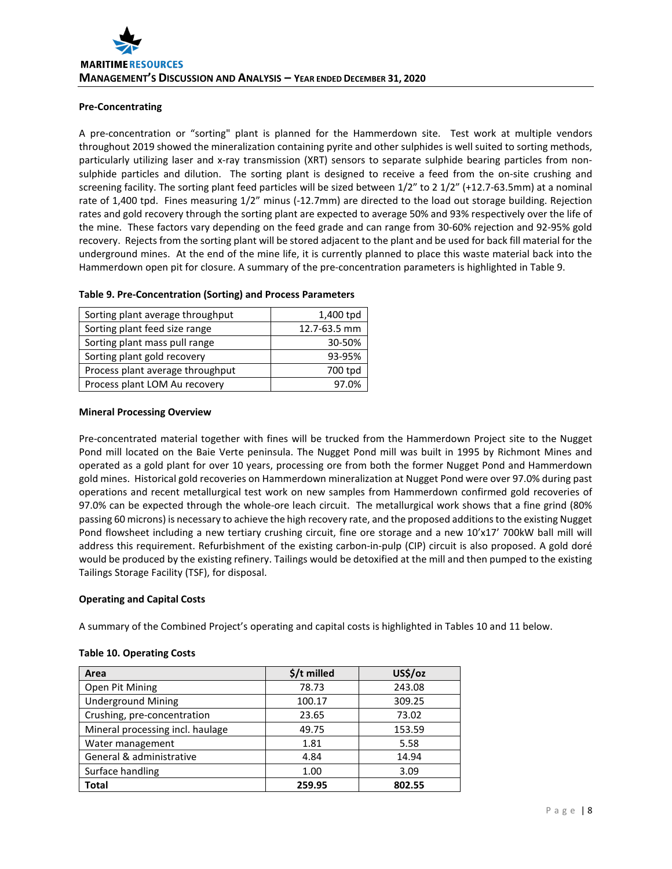## **Pre-Concentrating**

A pre-concentration or "sorting" plant is planned for the Hammerdown site. Test work at multiple vendors throughout 2019 showed the mineralization containing pyrite and other sulphides is well suited to sorting methods, particularly utilizing laser and x-ray transmission (XRT) sensors to separate sulphide bearing particles from nonsulphide particles and dilution. The sorting plant is designed to receive a feed from the on-site crushing and screening facility. The sorting plant feed particles will be sized between 1/2" to 2 1/2" (+12.7-63.5mm) at a nominal rate of 1,400 tpd. Fines measuring 1/2" minus (-12.7mm) are directed to the load out storage building. Rejection rates and gold recovery through the sorting plant are expected to average 50% and 93% respectively over the life of the mine. These factors vary depending on the feed grade and can range from 30-60% rejection and 92-95% gold recovery. Rejects from the sorting plant will be stored adjacent to the plant and be used for back fill material for the underground mines. At the end of the mine life, it is currently planned to place this waste material back into the Hammerdown open pit for closure. A summary of the pre-concentration parameters is highlighted in Table 9.

| Sorting plant average throughput | 1,400 tpd    |
|----------------------------------|--------------|
| Sorting plant feed size range    | 12.7-63.5 mm |
| Sorting plant mass pull range    | 30-50%       |
| Sorting plant gold recovery      | 93-95%       |
| Process plant average throughput | 700 tpd      |
| Process plant LOM Au recovery    | ዓ7 በ%        |

## **Table 9. Pre-Concentration (Sorting) and Process Parameters**

### **Mineral Processing Overview**

Pre-concentrated material together with fines will be trucked from the Hammerdown Project site to the Nugget Pond mill located on the Baie Verte peninsula. The Nugget Pond mill was built in 1995 by Richmont Mines and operated as a gold plant for over 10 years, processing ore from both the former Nugget Pond and Hammerdown gold mines. Historical gold recoveries on Hammerdown mineralization at Nugget Pond were over 97.0% during past operations and recent metallurgical test work on new samples from Hammerdown confirmed gold recoveries of 97.0% can be expected through the whole-ore leach circuit. The metallurgical work shows that a fine grind (80% passing 60 microns) is necessary to achieve the high recovery rate, and the proposed additions to the existing Nugget Pond flowsheet including a new tertiary crushing circuit, fine ore storage and a new 10'x17' 700kW ball mill will address this requirement. Refurbishment of the existing carbon-in-pulp (CIP) circuit is also proposed. A gold doré would be produced by the existing refinery. Tailings would be detoxified at the mill and then pumped to the existing Tailings Storage Facility (TSF), for disposal.

### **Operating and Capital Costs**

A summary of the Combined Project's operating and capital costs is highlighted in Tables 10 and 11 below.

#### **Table 10. Operating Costs**

| Area                             | $$/t$ milled | US\$/oz |
|----------------------------------|--------------|---------|
| Open Pit Mining                  | 78.73        | 243.08  |
| <b>Underground Mining</b>        | 100.17       | 309.25  |
| Crushing, pre-concentration      | 23.65        | 73.02   |
| Mineral processing incl. haulage | 49.75        | 153.59  |
| Water management                 | 1.81         | 5.58    |
| General & administrative         | 4.84         | 14.94   |
| Surface handling                 | 1.00         | 3.09    |
| Total                            | 259.95       | 802.55  |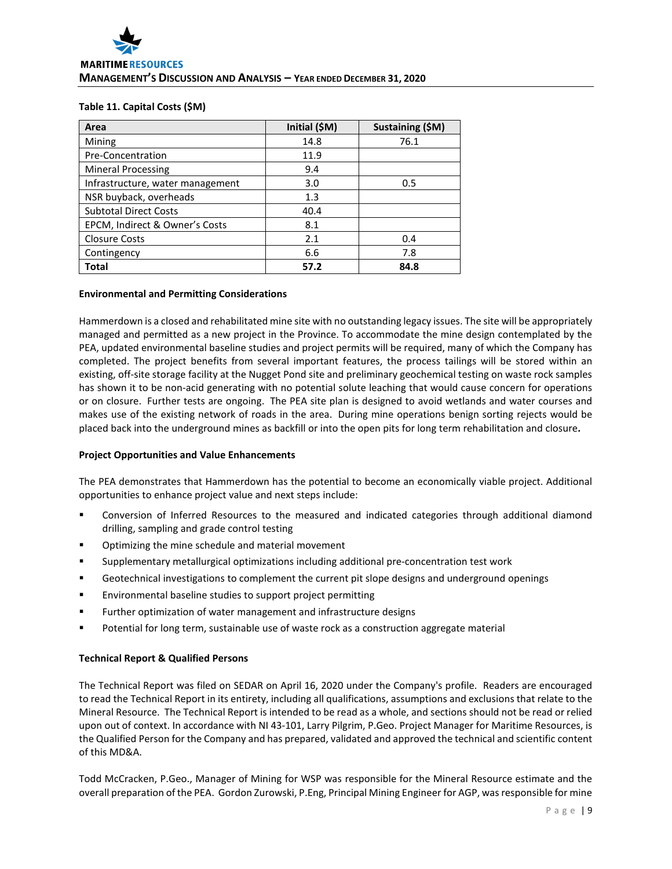#### **Table 11. Capital Costs (\$M)**

| Area                             | Initial (\$M) | Sustaining (\$M) |
|----------------------------------|---------------|------------------|
| Mining                           | 14.8          | 76.1             |
| Pre-Concentration                | 11.9          |                  |
| <b>Mineral Processing</b>        | 9.4           |                  |
| Infrastructure, water management | 3.0           | 0.5              |
| NSR buyback, overheads           | 1.3           |                  |
| <b>Subtotal Direct Costs</b>     | 40.4          |                  |
| EPCM, Indirect & Owner's Costs   | 8.1           |                  |
| <b>Closure Costs</b>             | 2.1           | 0.4              |
| Contingency                      | 6.6           | 7.8              |
| Total                            | 57.2          | 84.8             |

#### **Environmental and Permitting Considerations**

Hammerdown is a closed and rehabilitated mine site with no outstanding legacy issues. The site will be appropriately managed and permitted as a new project in the Province. To accommodate the mine design contemplated by the PEA, updated environmental baseline studies and project permits will be required, many of which the Company has completed. The project benefits from several important features, the process tailings will be stored within an existing, off-site storage facility at the Nugget Pond site and preliminary geochemical testing on waste rock samples has shown it to be non-acid generating with no potential solute leaching that would cause concern for operations or on closure. Further tests are ongoing. The PEA site plan is designed to avoid wetlands and water courses and makes use of the existing network of roads in the area. During mine operations benign sorting rejects would be placed back into the underground mines as backfill or into the open pits for long term rehabilitation and closure**.** 

### **Project Opportunities and Value Enhancements**

The PEA demonstrates that Hammerdown has the potential to become an economically viable project. Additional opportunities to enhance project value and next steps include:

- Conversion of Inferred Resources to the measured and indicated categories through additional diamond drilling, sampling and grade control testing
- Optimizing the mine schedule and material movement
- Supplementary metallurgical optimizations including additional pre-concentration test work
- Geotechnical investigations to complement the current pit slope designs and underground openings
- Environmental baseline studies to support project permitting
- Further optimization of water management and infrastructure designs
- Potential for long term, sustainable use of waste rock as a construction aggregate material

### **Technical Report & Qualified Persons**

The Technical Report was filed on SEDAR on April 16, 2020 under the Company's profile. Readers are encouraged to read the Technical Report in its entirety, including all qualifications, assumptions and exclusions that relate to the Mineral Resource. The Technical Report is intended to be read as a whole, and sections should not be read or relied upon out of context. In accordance with NI 43-101, Larry Pilgrim, P.Geo. Project Manager for Maritime Resources, is the Qualified Person for the Company and has prepared, validated and approved the technical and scientific content of this MD&A.

Todd McCracken, P.Geo., Manager of Mining for WSP was responsible for the Mineral Resource estimate and the overall preparation of the PEA. Gordon Zurowski, P.Eng, Principal Mining Engineer for AGP, wasresponsible for mine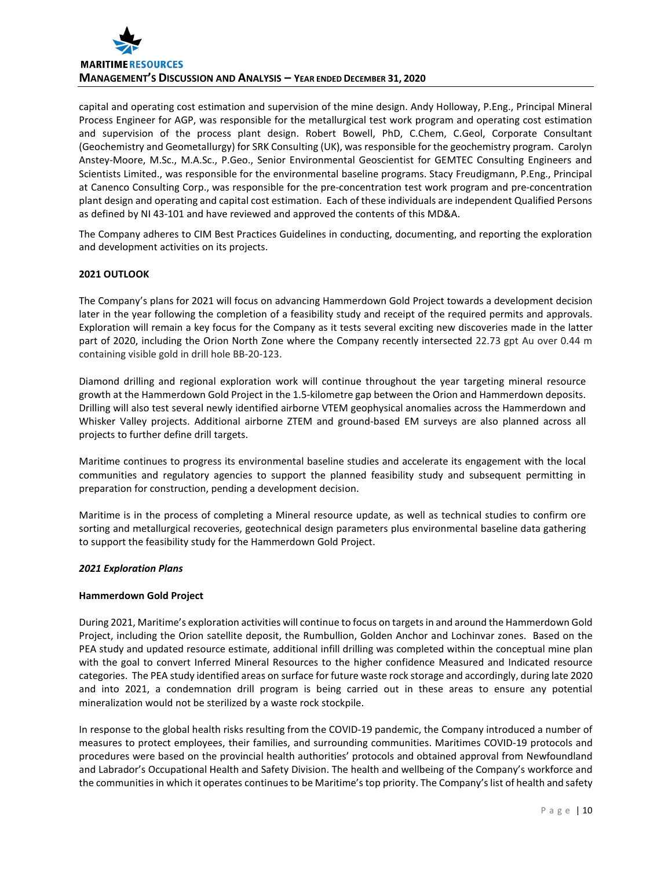

capital and operating cost estimation and supervision of the mine design. Andy Holloway, P.Eng., Principal Mineral Process Engineer for AGP, was responsible for the metallurgical test work program and operating cost estimation and supervision of the process plant design. Robert Bowell, PhD, C.Chem, C.Geol, Corporate Consultant (Geochemistry and Geometallurgy) for SRK Consulting (UK), was responsible for the geochemistry program. Carolyn Anstey-Moore, M.Sc., M.A.Sc., P.Geo., Senior Environmental Geoscientist for GEMTEC Consulting Engineers and Scientists Limited., was responsible for the environmental baseline programs. Stacy Freudigmann, P.Eng., Principal at Canenco Consulting Corp., was responsible for the pre-concentration test work program and pre-concentration plant design and operating and capital cost estimation. Each of these individuals are independent Qualified Persons as defined by NI 43-101 and have reviewed and approved the contents of this MD&A.

The Company adheres to CIM Best Practices Guidelines in conducting, documenting, and reporting the exploration and development activities on its projects.

### **2021 OUTLOOK**

The Company's plans for 2021 will focus on advancing Hammerdown Gold Project towards a development decision later in the year following the completion of a feasibility study and receipt of the required permits and approvals. Exploration will remain a key focus for the Company as it tests several exciting new discoveries made in the latter part of 2020, including the Orion North Zone where the Company recently intersected 22.73 gpt Au over 0.44 m containing visible gold in drill hole BB-20-123.

Diamond drilling and regional exploration work will continue throughout the year targeting mineral resource growth at the Hammerdown Gold Project in the 1.5-kilometre gap between the Orion and Hammerdown deposits. Drilling will also test several newly identified airborne VTEM geophysical anomalies across the Hammerdown and Whisker Valley projects. Additional airborne ZTEM and ground-based EM surveys are also planned across all projects to further define drill targets.

Maritime continues to progress its environmental baseline studies and accelerate its engagement with the local communities and regulatory agencies to support the planned feasibility study and subsequent permitting in preparation for construction, pending a development decision.

Maritime is in the process of completing a Mineral resource update, as well as technical studies to confirm ore sorting and metallurgical recoveries, geotechnical design parameters plus environmental baseline data gathering to support the feasibility study for the Hammerdown Gold Project.

### *2021 Exploration Plans*

### **Hammerdown Gold Project**

During 2021, Maritime's exploration activities will continue to focus on targets in and around the Hammerdown Gold Project, including the Orion satellite deposit, the Rumbullion, Golden Anchor and Lochinvar zones. Based on the PEA study and updated resource estimate, additional infill drilling was completed within the conceptual mine plan with the goal to convert Inferred Mineral Resources to the higher confidence Measured and Indicated resource categories. The PEA study identified areas on surface for future waste rock storage and accordingly, during late 2020 and into 2021, a condemnation drill program is being carried out in these areas to ensure any potential mineralization would not be sterilized by a waste rock stockpile.

In response to the global health risks resulting from the COVID-19 pandemic, the Company introduced a number of measures to protect employees, their families, and surrounding communities. Maritimes COVID-19 protocols and procedures were based on the provincial health authorities' protocols and obtained approval from Newfoundland and Labrador's Occupational Health and Safety Division. The health and wellbeing of the Company's workforce and the communities in which it operates continues to be Maritime's top priority. The Company'slist of health and safety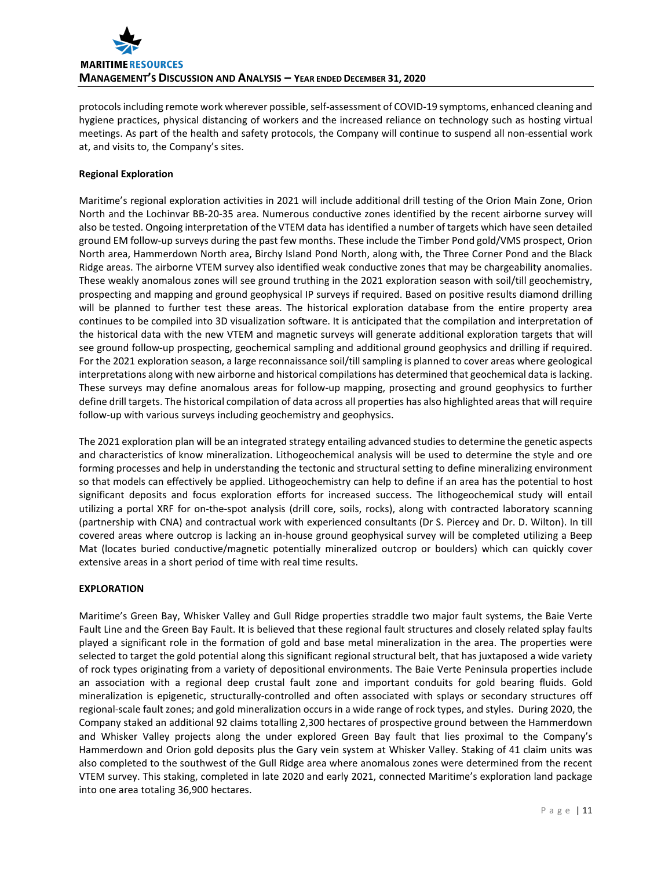

protocols including remote work wherever possible, self-assessment of COVID-19 symptoms, enhanced cleaning and hygiene practices, physical distancing of workers and the increased reliance on technology such as hosting virtual meetings. As part of the health and safety protocols, the Company will continue to suspend all non-essential work at, and visits to, the Company's sites.

## **Regional Exploration**

Maritime's regional exploration activities in 2021 will include additional drill testing of the Orion Main Zone, Orion North and the Lochinvar BB-20-35 area. Numerous conductive zones identified by the recent airborne survey will also be tested. Ongoing interpretation of the VTEM data has identified a number of targets which have seen detailed ground EM follow-up surveys during the past few months. These include the Timber Pond gold/VMS prospect, Orion North area, Hammerdown North area, Birchy Island Pond North, along with, the Three Corner Pond and the Black Ridge areas. The airborne VTEM survey also identified weak conductive zones that may be chargeability anomalies. These weakly anomalous zones will see ground truthing in the 2021 exploration season with soil/till geochemistry, prospecting and mapping and ground geophysical IP surveys if required. Based on positive results diamond drilling will be planned to further test these areas. The historical exploration database from the entire property area continues to be compiled into 3D visualization software. It is anticipated that the compilation and interpretation of the historical data with the new VTEM and magnetic surveys will generate additional exploration targets that will see ground follow-up prospecting, geochemical sampling and additional ground geophysics and drilling if required. For the 2021 exploration season, a large reconnaissance soil/till sampling is planned to cover areas where geological interpretations along with new airborne and historical compilations has determined that geochemical data is lacking. These surveys may define anomalous areas for follow-up mapping, prosecting and ground geophysics to further define drill targets. The historical compilation of data across all properties has also highlighted areas that will require follow-up with various surveys including geochemistry and geophysics.

The 2021 exploration plan will be an integrated strategy entailing advanced studies to determine the genetic aspects and characteristics of know mineralization. Lithogeochemical analysis will be used to determine the style and ore forming processes and help in understanding the tectonic and structural setting to define mineralizing environment so that models can effectively be applied. Lithogeochemistry can help to define if an area has the potential to host significant deposits and focus exploration efforts for increased success. The lithogeochemical study will entail utilizing a portal XRF for on-the-spot analysis (drill core, soils, rocks), along with contracted laboratory scanning (partnership with CNA) and contractual work with experienced consultants (Dr S. Piercey and Dr. D. Wilton). In till covered areas where outcrop is lacking an in-house ground geophysical survey will be completed utilizing a Beep Mat (locates buried conductive/magnetic potentially mineralized outcrop or boulders) which can quickly cover extensive areas in a short period of time with real time results.

# **EXPLORATION**

Maritime's Green Bay, Whisker Valley and Gull Ridge properties straddle two major fault systems, the Baie Verte Fault Line and the Green Bay Fault. It is believed that these regional fault structures and closely related splay faults played a significant role in the formation of gold and base metal mineralization in the area. The properties were selected to target the gold potential along this significant regional structural belt, that has juxtaposed a wide variety of rock types originating from a variety of depositional environments. The Baie Verte Peninsula properties include an association with a regional deep crustal fault zone and important conduits for gold bearing fluids. Gold mineralization is epigenetic, structurally-controlled and often associated with splays or secondary structures off regional-scale fault zones; and gold mineralization occurs in a wide range of rock types, and styles. During 2020, the Company staked an additional 92 claims totalling 2,300 hectares of prospective ground between the Hammerdown and Whisker Valley projects along the under explored Green Bay fault that lies proximal to the Company's Hammerdown and Orion gold deposits plus the Gary vein system at Whisker Valley. Staking of 41 claim units was also completed to the southwest of the Gull Ridge area where anomalous zones were determined from the recent VTEM survey. This staking, completed in late 2020 and early 2021, connected Maritime's exploration land package into one area totaling 36,900 hectares.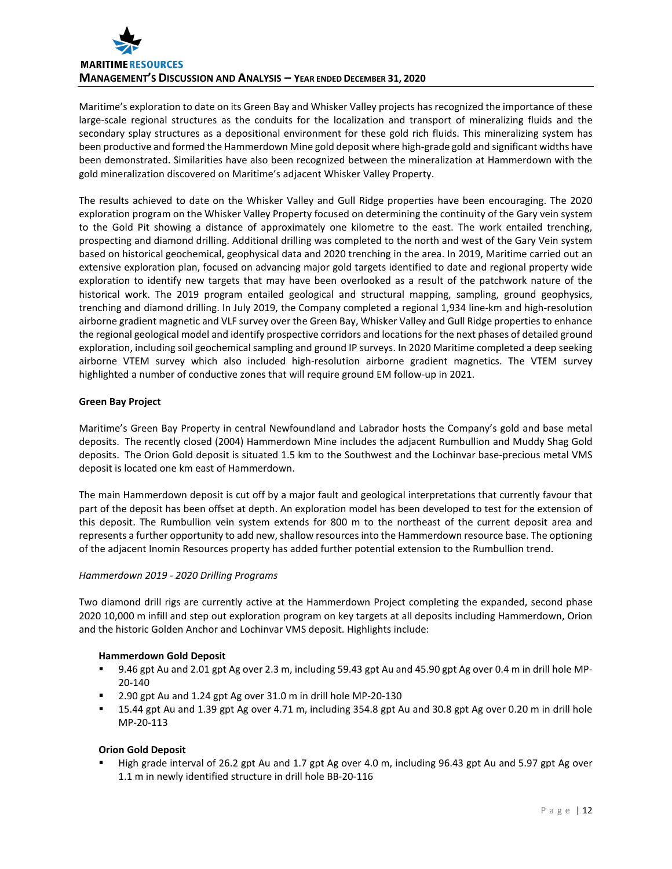

Maritime's exploration to date on its Green Bay and Whisker Valley projects has recognized the importance of these large-scale regional structures as the conduits for the localization and transport of mineralizing fluids and the secondary splay structures as a depositional environment for these gold rich fluids. This mineralizing system has been productive and formed the Hammerdown Mine gold deposit where high-grade gold and significant widths have been demonstrated. Similarities have also been recognized between the mineralization at Hammerdown with the gold mineralization discovered on Maritime's adjacent Whisker Valley Property.

The results achieved to date on the Whisker Valley and Gull Ridge properties have been encouraging. The 2020 exploration program on the Whisker Valley Property focused on determining the continuity of the Gary vein system to the Gold Pit showing a distance of approximately one kilometre to the east. The work entailed trenching, prospecting and diamond drilling. Additional drilling was completed to the north and west of the Gary Vein system based on historical geochemical, geophysical data and 2020 trenching in the area. In 2019, Maritime carried out an extensive exploration plan, focused on advancing major gold targets identified to date and regional property wide exploration to identify new targets that may have been overlooked as a result of the patchwork nature of the historical work. The 2019 program entailed geological and structural mapping, sampling, ground geophysics, trenching and diamond drilling. In July 2019, the Company completed a regional 1,934 line-km and high-resolution airborne gradient magnetic and VLF survey over the Green Bay, Whisker Valley and Gull Ridge properties to enhance the regional geological model and identify prospective corridors and locations for the next phases of detailed ground exploration, including soil geochemical sampling and ground IP surveys. In 2020 Maritime completed a deep seeking airborne VTEM survey which also included high-resolution airborne gradient magnetics. The VTEM survey highlighted a number of conductive zones that will require ground EM follow-up in 2021.

# **Green Bay Project**

Maritime's Green Bay Property in central Newfoundland and Labrador hosts the Company's gold and base metal deposits. The recently closed (2004) Hammerdown Mine includes the adjacent Rumbullion and Muddy Shag Gold deposits. The Orion Gold deposit is situated 1.5 km to the Southwest and the Lochinvar base-precious metal VMS deposit is located one km east of Hammerdown.

The main Hammerdown deposit is cut off by a major fault and geological interpretations that currently favour that part of the deposit has been offset at depth. An exploration model has been developed to test for the extension of this deposit. The Rumbullion vein system extends for 800 m to the northeast of the current deposit area and represents a further opportunity to add new, shallow resources into the Hammerdown resource base. The optioning of the adjacent Inomin Resources property has added further potential extension to the Rumbullion trend.

### *Hammerdown 2019 - 2020 Drilling Programs*

Two diamond drill rigs are currently active at the Hammerdown Project completing the expanded, second phase 2020 10,000 m infill and step out exploration program on key targets at all deposits including Hammerdown, Orion and the historic Golden Anchor and Lochinvar VMS deposit. Highlights include:

### **Hammerdown Gold Deposit**

- 9.46 gpt Au and 2.01 gpt Ag over 2.3 m, including 59.43 gpt Au and 45.90 gpt Ag over 0.4 m in drill hole MP-20-140
- 2.90 gpt Au and 1.24 gpt Ag over 31.0 m in drill hole MP-20-130
- 15.44 gpt Au and 1.39 gpt Ag over 4.71 m, including 354.8 gpt Au and 30.8 gpt Ag over 0.20 m in drill hole MP-20-113

# **Orion Gold Deposit**

 High grade interval of 26.2 gpt Au and 1.7 gpt Ag over 4.0 m, including 96.43 gpt Au and 5.97 gpt Ag over 1.1 m in newly identified structure in drill hole BB-20-116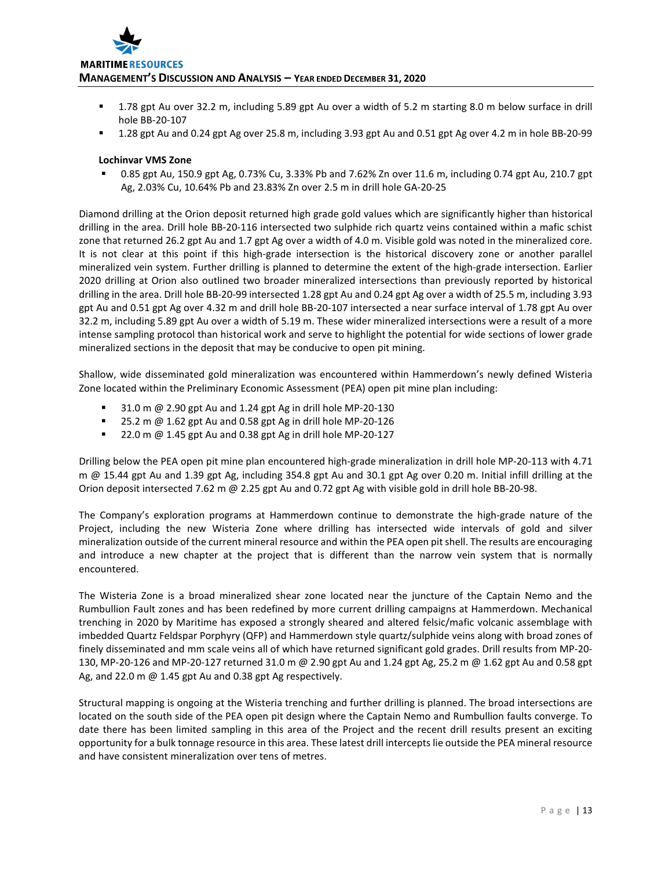

- 1.78 gpt Au over 32.2 m, including 5.89 gpt Au over a width of 5.2 m starting 8.0 m below surface in drill hole BB-20-107
- 1.28 gpt Au and 0.24 gpt Ag over 25.8 m, including 3.93 gpt Au and 0.51 gpt Ag over 4.2 m in hole BB-20-99

## **Lochinvar VMS Zone**

 0.85 gpt Au, 150.9 gpt Ag, 0.73% Cu, 3.33% Pb and 7.62% Zn over 11.6 m, including 0.74 gpt Au, 210.7 gpt Ag, 2.03% Cu, 10.64% Pb and 23.83% Zn over 2.5 m in drill hole GA-20-25

Diamond drilling at the Orion deposit returned high grade gold values which are significantly higher than historical drilling in the area. Drill hole BB-20-116 intersected two sulphide rich quartz veins contained within a mafic schist zone that returned 26.2 gpt Au and 1.7 gpt Ag over a width of 4.0 m. Visible gold was noted in the mineralized core. It is not clear at this point if this high-grade intersection is the historical discovery zone or another parallel mineralized vein system. Further drilling is planned to determine the extent of the high-grade intersection. Earlier 2020 drilling at Orion also outlined two broader mineralized intersections than previously reported by historical drilling in the area. Drill hole BB-20-99 intersected 1.28 gpt Au and 0.24 gpt Ag over a width of 25.5 m, including 3.93 gpt Au and 0.51 gpt Ag over 4.32 m and drill hole BB-20-107 intersected a near surface interval of 1.78 gpt Au over 32.2 m, including 5.89 gpt Au over a width of 5.19 m. These wider mineralized intersections were a result of a more intense sampling protocol than historical work and serve to highlight the potential for wide sections of lower grade mineralized sections in the deposit that may be conducive to open pit mining.

Shallow, wide disseminated gold mineralization was encountered within Hammerdown's newly defined Wisteria Zone located within the Preliminary Economic Assessment (PEA) open pit mine plan including:

- 31.0 m @ 2.90 gpt Au and 1.24 gpt Ag in drill hole MP-20-130
- 25.2 m @ 1.62 gpt Au and 0.58 gpt Ag in drill hole MP-20-126
- 22.0 m @ 1.45 gpt Au and 0.38 gpt Ag in drill hole MP-20-127

Drilling below the PEA open pit mine plan encountered high-grade mineralization in drill hole MP-20-113 with 4.71 m @ 15.44 gpt Au and 1.39 gpt Ag, including 354.8 gpt Au and 30.1 gpt Ag over 0.20 m. Initial infill drilling at the Orion deposit intersected 7.62 m @ 2.25 gpt Au and 0.72 gpt Ag with visible gold in drill hole BB-20-98.

The Company's exploration programs at Hammerdown continue to demonstrate the high-grade nature of the Project, including the new Wisteria Zone where drilling has intersected wide intervals of gold and silver mineralization outside of the current mineral resource and within the PEA open pit shell. The results are encouraging and introduce a new chapter at the project that is different than the narrow vein system that is normally encountered.

The Wisteria Zone is a broad mineralized shear zone located near the juncture of the Captain Nemo and the Rumbullion Fault zones and has been redefined by more current drilling campaigns at Hammerdown. Mechanical trenching in 2020 by Maritime has exposed a strongly sheared and altered felsic/mafic volcanic assemblage with imbedded Quartz Feldspar Porphyry (QFP) and Hammerdown style quartz/sulphide veins along with broad zones of finely disseminated and mm scale veins all of which have returned significant gold grades. Drill results from MP-20- 130, MP-20-126 and MP-20-127 returned 31.0 m @ 2.90 gpt Au and 1.24 gpt Ag, 25.2 m @ 1.62 gpt Au and 0.58 gpt Ag, and 22.0 m @ 1.45 gpt Au and 0.38 gpt Ag respectively.

Structural mapping is ongoing at the Wisteria trenching and further drilling is planned. The broad intersections are located on the south side of the PEA open pit design where the Captain Nemo and Rumbullion faults converge. To date there has been limited sampling in this area of the Project and the recent drill results present an exciting opportunity for a bulk tonnage resource in this area. These latest drill intercepts lie outside the PEA mineral resource and have consistent mineralization over tens of metres.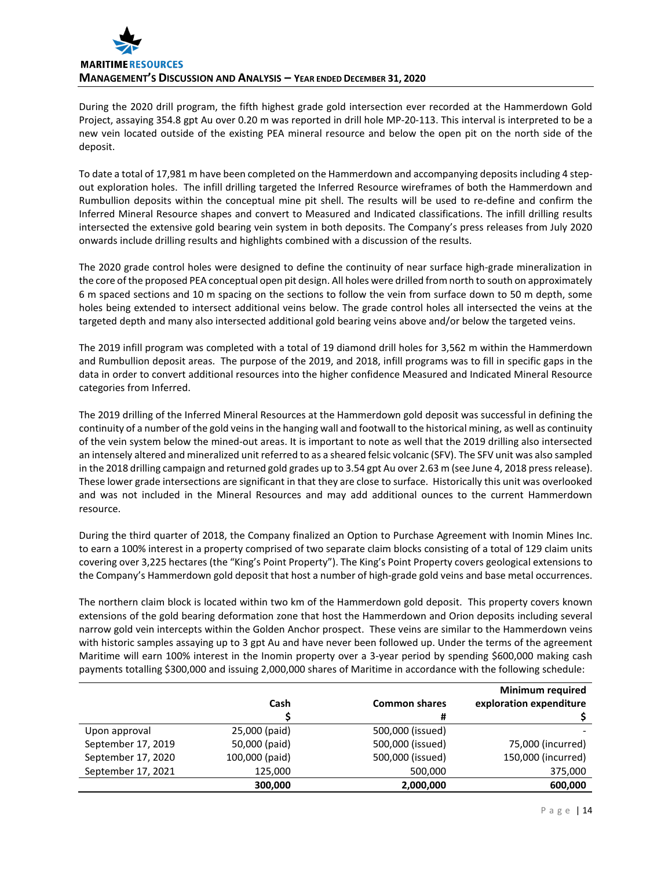

During the 2020 drill program, the fifth highest grade gold intersection ever recorded at the Hammerdown Gold Project, assaying 354.8 gpt Au over 0.20 m was reported in drill hole MP-20-113. This interval is interpreted to be a new vein located outside of the existing PEA mineral resource and below the open pit on the north side of the deposit.

To date a total of 17,981 m have been completed on the Hammerdown and accompanying deposits including 4 stepout exploration holes. The infill drilling targeted the Inferred Resource wireframes of both the Hammerdown and Rumbullion deposits within the conceptual mine pit shell. The results will be used to re-define and confirm the Inferred Mineral Resource shapes and convert to Measured and Indicated classifications. The infill drilling results intersected the extensive gold bearing vein system in both deposits. The Company's press releases from July 2020 onwards include drilling results and highlights combined with a discussion of the results.

The 2020 grade control holes were designed to define the continuity of near surface high-grade mineralization in the core of the proposed PEA conceptual open pit design. All holes were drilled from north to south on approximately 6 m spaced sections and 10 m spacing on the sections to follow the vein from surface down to 50 m depth, some holes being extended to intersect additional veins below. The grade control holes all intersected the veins at the targeted depth and many also intersected additional gold bearing veins above and/or below the targeted veins.

The 2019 infill program was completed with a total of 19 diamond drill holes for 3,562 m within the Hammerdown and Rumbullion deposit areas. The purpose of the 2019, and 2018, infill programs was to fill in specific gaps in the data in order to convert additional resources into the higher confidence Measured and Indicated Mineral Resource categories from Inferred.

The 2019 drilling of the Inferred Mineral Resources at the Hammerdown gold deposit was successful in defining the continuity of a number of the gold veins in the hanging wall and footwall to the historical mining, as well as continuity of the vein system below the mined-out areas. It is important to note as well that the 2019 drilling also intersected an intensely altered and mineralized unit referred to as a sheared felsic volcanic (SFV). The SFV unit was also sampled in the 2018 drilling campaign and returned gold grades up to 3.54 gpt Au over 2.63 m (see June 4, 2018 press release). These lower grade intersections are significant in that they are close to surface. Historically this unit was overlooked and was not included in the Mineral Resources and may add additional ounces to the current Hammerdown resource.

During the third quarter of 2018, the Company finalized an Option to Purchase Agreement with Inomin Mines Inc. to earn a 100% interest in a property comprised of two separate claim blocks consisting of a total of 129 claim units covering over 3,225 hectares (the "King's Point Property"). The King's Point Property covers geological extensions to the Company's Hammerdown gold deposit that host a number of high-grade gold veins and base metal occurrences.

The northern claim block is located within two km of the Hammerdown gold deposit. This property covers known extensions of the gold bearing deformation zone that host the Hammerdown and Orion deposits including several narrow gold vein intercepts within the Golden Anchor prospect. These veins are similar to the Hammerdown veins with historic samples assaying up to 3 gpt Au and have never been followed up. Under the terms of the agreement Maritime will earn 100% interest in the Inomin property over a 3-year period by spending \$600,000 making cash payments totalling \$300,000 and issuing 2,000,000 shares of Maritime in accordance with the following schedule:

|                    |                |                      | <b>Minimum required</b> |
|--------------------|----------------|----------------------|-------------------------|
|                    | Cash           | <b>Common shares</b> | exploration expenditure |
|                    |                | #                    |                         |
| Upon approval      | 25,000 (paid)  | 500,000 (issued)     |                         |
| September 17, 2019 | 50,000 (paid)  | 500,000 (issued)     | 75,000 (incurred)       |
| September 17, 2020 | 100,000 (paid) | 500,000 (issued)     | 150,000 (incurred)      |
| September 17, 2021 | 125,000        | 500,000              | 375,000                 |
|                    | 300,000        | 2,000,000            | 600,000                 |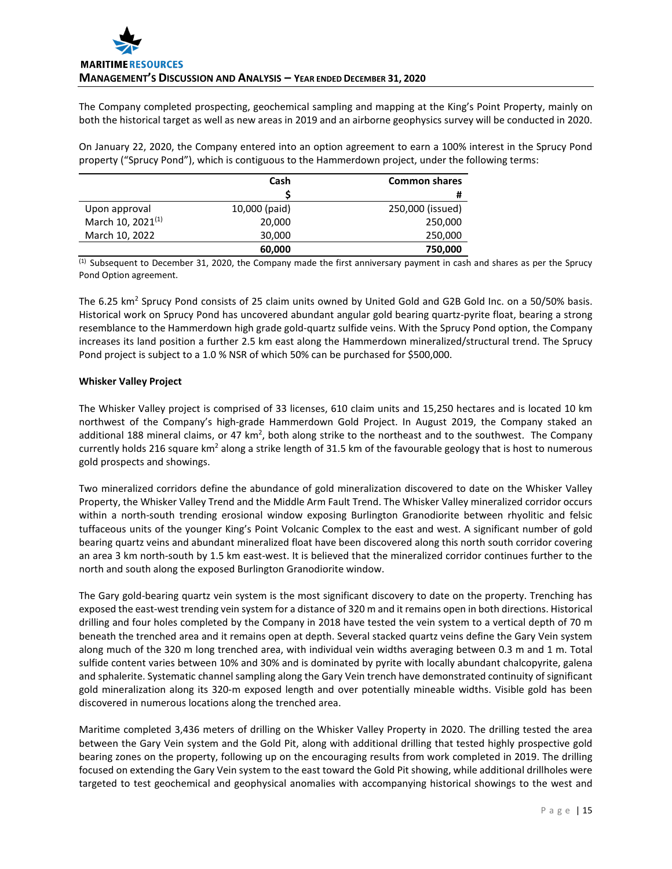The Company completed prospecting, geochemical sampling and mapping at the King's Point Property, mainly on both the historical target as well as new areas in 2019 and an airborne geophysics survey will be conducted in 2020.

On January 22, 2020, the Company entered into an option agreement to earn a 100% interest in the Sprucy Pond property ("Sprucy Pond"), which is contiguous to the Hammerdown project, under the following terms:

|                               | Cash          | <b>Common shares</b> |
|-------------------------------|---------------|----------------------|
|                               |               | #                    |
| Upon approval                 | 10,000 (paid) | 250,000 (issued)     |
| March 10, 2021 <sup>(1)</sup> | 20,000        | 250,000              |
| March 10, 2022                | 30,000        | 250,000              |
|                               | 60,000        | 750,000              |

(1) Subsequent to December 31, 2020, the Company made the first anniversary payment in cash and shares as per the Sprucy Pond Option agreement.

The 6.25 km<sup>2</sup> Sprucy Pond consists of 25 claim units owned by United Gold and G2B Gold Inc. on a 50/50% basis. Historical work on Sprucy Pond has uncovered abundant angular gold bearing quartz-pyrite float, bearing a strong resemblance to the Hammerdown high grade gold-quartz sulfide veins. With the Sprucy Pond option, the Company increases its land position a further 2.5 km east along the Hammerdown mineralized/structural trend. The Sprucy Pond project is subject to a 1.0 % NSR of which 50% can be purchased for \$500,000.

## **Whisker Valley Project**

The Whisker Valley project is comprised of 33 licenses, 610 claim units and 15,250 hectares and is located 10 km northwest of the Company's high-grade Hammerdown Gold Project. In August 2019, the Company staked an additional 188 mineral claims, or 47 km<sup>2</sup>, both along strike to the northeast and to the southwest. The Company currently holds 216 square km<sup>2</sup> along a strike length of 31.5 km of the favourable geology that is host to numerous gold prospects and showings.

Two mineralized corridors define the abundance of gold mineralization discovered to date on the Whisker Valley Property, the Whisker Valley Trend and the Middle Arm Fault Trend. The Whisker Valley mineralized corridor occurs within a north-south trending erosional window exposing Burlington Granodiorite between rhyolitic and felsic tuffaceous units of the younger King's Point Volcanic Complex to the east and west. A significant number of gold bearing quartz veins and abundant mineralized float have been discovered along this north south corridor covering an area 3 km north-south by 1.5 km east-west. It is believed that the mineralized corridor continues further to the north and south along the exposed Burlington Granodiorite window.

The Gary gold-bearing quartz vein system is the most significant discovery to date on the property. Trenching has exposed the east-west trending vein system for a distance of 320 m and it remains open in both directions. Historical drilling and four holes completed by the Company in 2018 have tested the vein system to a vertical depth of 70 m beneath the trenched area and it remains open at depth. Several stacked quartz veins define the Gary Vein system along much of the 320 m long trenched area, with individual vein widths averaging between 0.3 m and 1 m. Total sulfide content varies between 10% and 30% and is dominated by pyrite with locally abundant chalcopyrite, galena and sphalerite. Systematic channel sampling along the Gary Vein trench have demonstrated continuity of significant gold mineralization along its 320-m exposed length and over potentially mineable widths. Visible gold has been discovered in numerous locations along the trenched area.

Maritime completed 3,436 meters of drilling on the Whisker Valley Property in 2020. The drilling tested the area between the Gary Vein system and the Gold Pit, along with additional drilling that tested highly prospective gold bearing zones on the property, following up on the encouraging results from work completed in 2019. The drilling focused on extending the Gary Vein system to the east toward the Gold Pit showing, while additional drillholes were targeted to test geochemical and geophysical anomalies with accompanying historical showings to the west and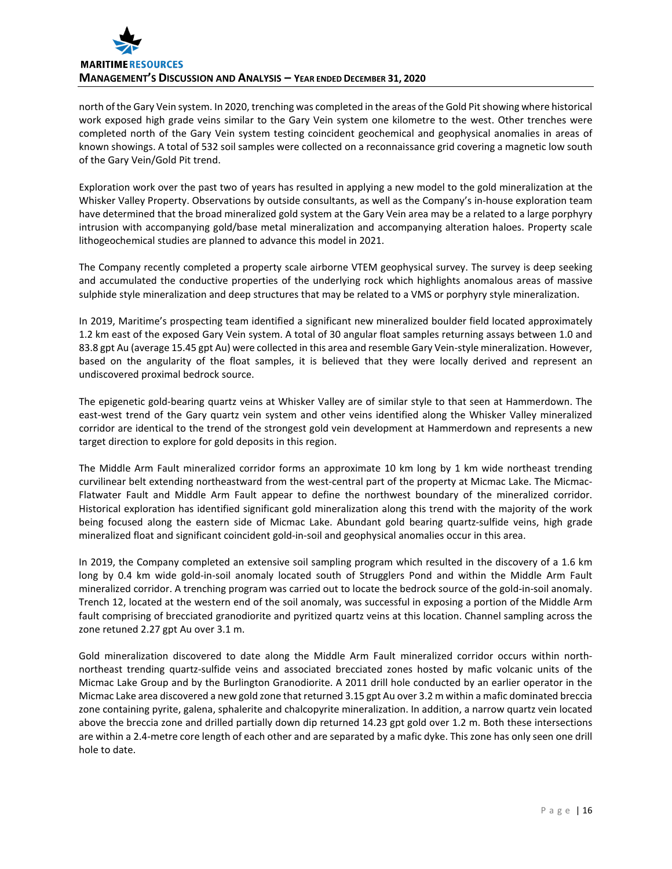

north of the Gary Vein system. In 2020, trenching was completed in the areas of the Gold Pit showing where historical work exposed high grade veins similar to the Gary Vein system one kilometre to the west. Other trenches were completed north of the Gary Vein system testing coincident geochemical and geophysical anomalies in areas of known showings. A total of 532 soil samples were collected on a reconnaissance grid covering a magnetic low south of the Gary Vein/Gold Pit trend.

Exploration work over the past two of years has resulted in applying a new model to the gold mineralization at the Whisker Valley Property. Observations by outside consultants, as well as the Company's in-house exploration team have determined that the broad mineralized gold system at the Gary Vein area may be a related to a large porphyry intrusion with accompanying gold/base metal mineralization and accompanying alteration haloes. Property scale lithogeochemical studies are planned to advance this model in 2021.

The Company recently completed a property scale airborne VTEM geophysical survey. The survey is deep seeking and accumulated the conductive properties of the underlying rock which highlights anomalous areas of massive sulphide style mineralization and deep structures that may be related to a VMS or porphyry style mineralization.

In 2019, Maritime's prospecting team identified a significant new mineralized boulder field located approximately 1.2 km east of the exposed Gary Vein system. A total of 30 angular float samples returning assays between 1.0 and 83.8 gpt Au (average 15.45 gpt Au) were collected in this area and resemble Gary Vein-style mineralization. However, based on the angularity of the float samples, it is believed that they were locally derived and represent an undiscovered proximal bedrock source.

The epigenetic gold-bearing quartz veins at Whisker Valley are of similar style to that seen at Hammerdown. The east-west trend of the Gary quartz vein system and other veins identified along the Whisker Valley mineralized corridor are identical to the trend of the strongest gold vein development at Hammerdown and represents a new target direction to explore for gold deposits in this region.

The Middle Arm Fault mineralized corridor forms an approximate 10 km long by 1 km wide northeast trending curvilinear belt extending northeastward from the west-central part of the property at Micmac Lake. The Micmac-Flatwater Fault and Middle Arm Fault appear to define the northwest boundary of the mineralized corridor. Historical exploration has identified significant gold mineralization along this trend with the majority of the work being focused along the eastern side of Micmac Lake. Abundant gold bearing quartz-sulfide veins, high grade mineralized float and significant coincident gold-in-soil and geophysical anomalies occur in this area.

In 2019, the Company completed an extensive soil sampling program which resulted in the discovery of a 1.6 km long by 0.4 km wide gold-in-soil anomaly located south of Strugglers Pond and within the Middle Arm Fault mineralized corridor. A trenching program was carried out to locate the bedrock source of the gold-in-soil anomaly. Trench 12, located at the western end of the soil anomaly, was successful in exposing a portion of the Middle Arm fault comprising of brecciated granodiorite and pyritized quartz veins at this location. Channel sampling across the zone retuned 2.27 gpt Au over 3.1 m.

Gold mineralization discovered to date along the Middle Arm Fault mineralized corridor occurs within northnortheast trending quartz-sulfide veins and associated brecciated zones hosted by mafic volcanic units of the Micmac Lake Group and by the Burlington Granodiorite. A 2011 drill hole conducted by an earlier operator in the Micmac Lake area discovered a new gold zone that returned 3.15 gpt Au over 3.2 m within a mafic dominated breccia zone containing pyrite, galena, sphalerite and chalcopyrite mineralization. In addition, a narrow quartz vein located above the breccia zone and drilled partially down dip returned 14.23 gpt gold over 1.2 m. Both these intersections are within a 2.4-metre core length of each other and are separated by a mafic dyke. This zone has only seen one drill hole to date.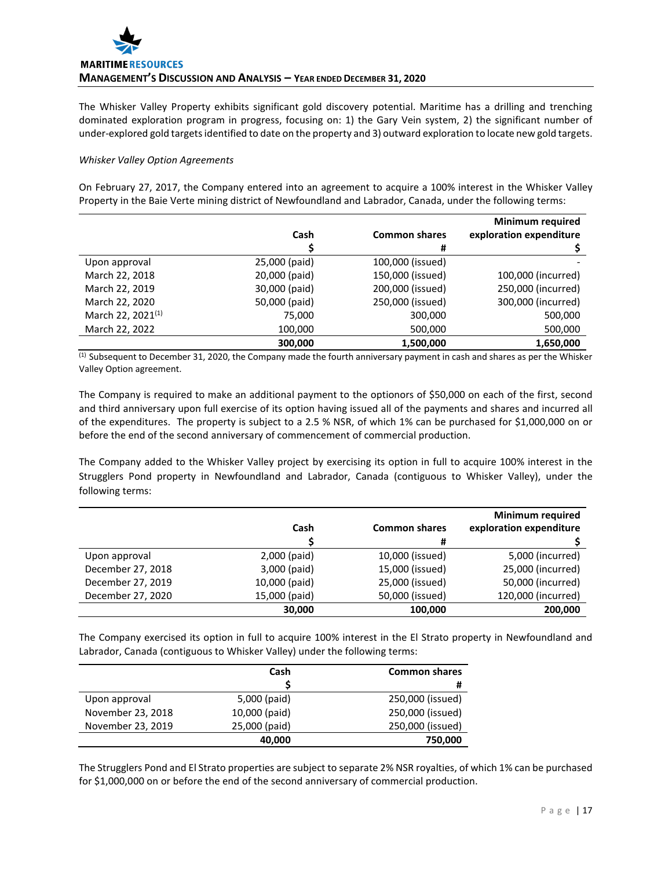The Whisker Valley Property exhibits significant gold discovery potential. Maritime has a drilling and trenching dominated exploration program in progress, focusing on: 1) the Gary Vein system, 2) the significant number of under-explored gold targets identified to date on the property and 3) outward exploration to locate new gold targets.

## *Whisker Valley Option Agreements*

On February 27, 2017, the Company entered into an agreement to acquire a 100% interest in the Whisker Valley Property in the Baie Verte mining district of Newfoundland and Labrador, Canada, under the following terms:

|                               | Cash          | <b>Common shares</b> | <b>Minimum required</b><br>exploration expenditure |
|-------------------------------|---------------|----------------------|----------------------------------------------------|
|                               |               | #                    |                                                    |
| Upon approval                 | 25,000 (paid) | 100,000 (issued)     |                                                    |
| March 22, 2018                | 20,000 (paid) | 150,000 (issued)     | 100,000 (incurred)                                 |
| March 22, 2019                | 30,000 (paid) | 200,000 (issued)     | 250,000 (incurred)                                 |
| March 22, 2020                | 50,000 (paid) | 250,000 (issued)     | 300,000 (incurred)                                 |
| March 22, 2021 <sup>(1)</sup> | 75,000        | 300,000              | 500,000                                            |
| March 22, 2022                | 100,000       | 500,000              | 500,000                                            |
|                               | 300.000       | 1,500,000            | 1,650,000                                          |

 $<sup>(1)</sup>$  Subsequent to December 31, 2020, the Company made the fourth anniversary payment in cash and shares as per the Whisker</sup> Valley Option agreement.

The Company is required to make an additional payment to the optionors of \$50,000 on each of the first, second and third anniversary upon full exercise of its option having issued all of the payments and shares and incurred all of the expenditures. The property is subject to a 2.5 % NSR, of which 1% can be purchased for \$1,000,000 on or before the end of the second anniversary of commencement of commercial production.

The Company added to the Whisker Valley project by exercising its option in full to acquire 100% interest in the Strugglers Pond property in Newfoundland and Labrador, Canada (contiguous to Whisker Valley), under the following terms:

|                   |               |                      | <b>Minimum required</b> |
|-------------------|---------------|----------------------|-------------------------|
|                   | Cash          | <b>Common shares</b> | exploration expenditure |
|                   |               | #                    |                         |
| Upon approval     | 2,000 (paid)  | 10,000 (issued)      | 5,000 (incurred)        |
| December 27, 2018 | 3,000 (paid)  | 15,000 (issued)      | 25,000 (incurred)       |
| December 27, 2019 | 10,000 (paid) | 25,000 (issued)      | 50,000 (incurred)       |
| December 27, 2020 | 15,000 (paid) | 50,000 (issued)      | 120,000 (incurred)      |
|                   | 30,000        | 100,000              | 200,000                 |

The Company exercised its option in full to acquire 100% interest in the El Strato property in Newfoundland and Labrador, Canada (contiguous to Whisker Valley) under the following terms:

|                   | Cash          | <b>Common shares</b> |
|-------------------|---------------|----------------------|
|                   |               | #                    |
| Upon approval     | 5,000 (paid)  | 250,000 (issued)     |
| November 23, 2018 | 10,000 (paid) | 250,000 (issued)     |
| November 23, 2019 | 25,000 (paid) | 250,000 (issued)     |
|                   | 40,000        | 750,000              |

The Strugglers Pond and El Strato properties are subject to separate 2% NSR royalties, of which 1% can be purchased for \$1,000,000 on or before the end of the second anniversary of commercial production.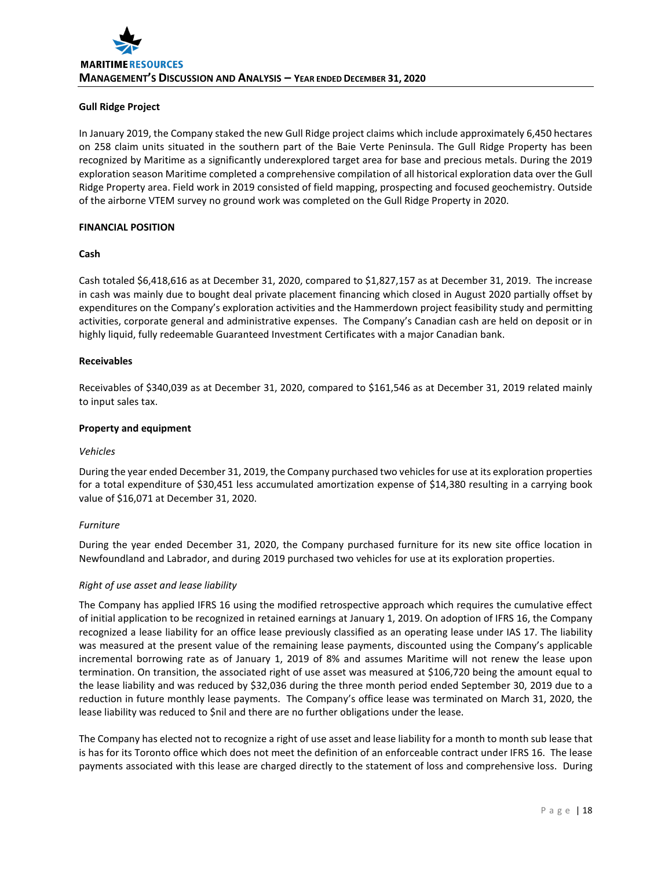## **Gull Ridge Project**

In January 2019, the Company staked the new Gull Ridge project claims which include approximately 6,450 hectares on 258 claim units situated in the southern part of the Baie Verte Peninsula. The Gull Ridge Property has been recognized by Maritime as a significantly underexplored target area for base and precious metals. During the 2019 exploration season Maritime completed a comprehensive compilation of all historical exploration data over the Gull Ridge Property area. Field work in 2019 consisted of field mapping, prospecting and focused geochemistry. Outside of the airborne VTEM survey no ground work was completed on the Gull Ridge Property in 2020.

## **FINANCIAL POSITION**

### **Cash**

Cash totaled \$6,418,616 as at December 31, 2020, compared to \$1,827,157 as at December 31, 2019. The increase in cash was mainly due to bought deal private placement financing which closed in August 2020 partially offset by expenditures on the Company's exploration activities and the Hammerdown project feasibility study and permitting activities, corporate general and administrative expenses. The Company's Canadian cash are held on deposit or in highly liquid, fully redeemable Guaranteed Investment Certificates with a major Canadian bank.

## **Receivables**

Receivables of \$340,039 as at December 31, 2020, compared to \$161,546 as at December 31, 2019 related mainly to input sales tax.

### **Property and equipment**

### *Vehicles*

During the year ended December 31, 2019, the Company purchased two vehicles for use at its exploration properties for a total expenditure of \$30,451 less accumulated amortization expense of \$14,380 resulting in a carrying book value of \$16,071 at December 31, 2020.

### *Furniture*

During the year ended December 31, 2020, the Company purchased furniture for its new site office location in Newfoundland and Labrador, and during 2019 purchased two vehicles for use at its exploration properties.

# *Right of use asset and lease liability*

The Company has applied IFRS 16 using the modified retrospective approach which requires the cumulative effect of initial application to be recognized in retained earnings at January 1, 2019. On adoption of IFRS 16, the Company recognized a lease liability for an office lease previously classified as an operating lease under IAS 17. The liability was measured at the present value of the remaining lease payments, discounted using the Company's applicable incremental borrowing rate as of January 1, 2019 of 8% and assumes Maritime will not renew the lease upon termination. On transition, the associated right of use asset was measured at \$106,720 being the amount equal to the lease liability and was reduced by \$32,036 during the three month period ended September 30, 2019 due to a reduction in future monthly lease payments. The Company's office lease was terminated on March 31, 2020, the lease liability was reduced to \$nil and there are no further obligations under the lease.

The Company has elected not to recognize a right of use asset and lease liability for a month to month sub lease that is has for its Toronto office which does not meet the definition of an enforceable contract under IFRS 16. The lease payments associated with this lease are charged directly to the statement of loss and comprehensive loss. During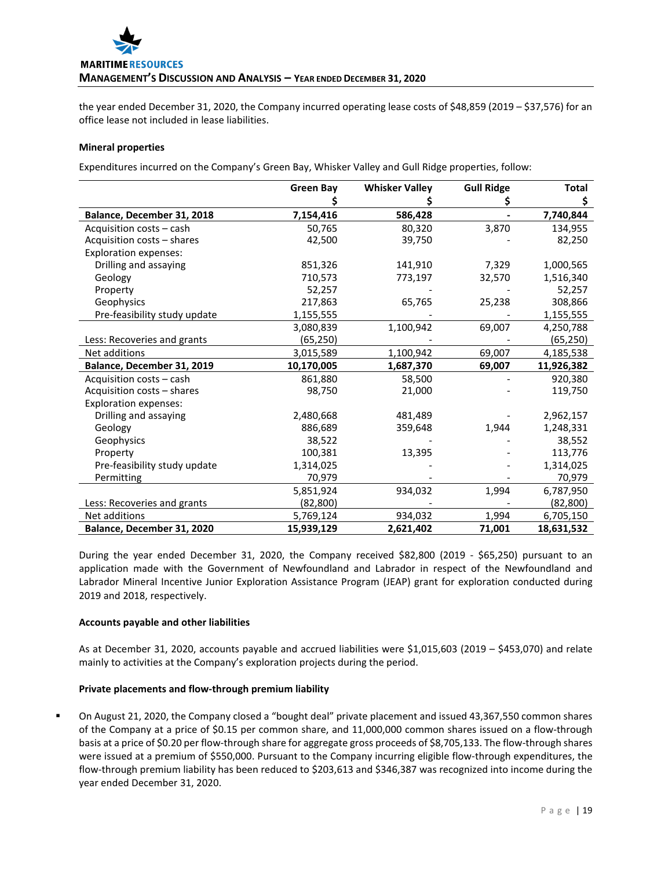

the year ended December 31, 2020, the Company incurred operating lease costs of \$48,859 (2019 – \$37,576) for an office lease not included in lease liabilities.

### **Mineral properties**

Expenditures incurred on the Company's Green Bay, Whisker Valley and Gull Ridge properties, follow:

|                              | <b>Green Bay</b> | <b>Whisker Valley</b> | <b>Gull Ridge</b> | <b>Total</b> |
|------------------------------|------------------|-----------------------|-------------------|--------------|
|                              |                  |                       |                   | \$           |
| Balance, December 31, 2018   | 7,154,416        | 586,428               |                   | 7,740,844    |
| Acquisition costs - cash     | 50,765           | 80,320                | 3,870             | 134,955      |
| Acquisition costs - shares   | 42,500           | 39,750                |                   | 82,250       |
| <b>Exploration expenses:</b> |                  |                       |                   |              |
| Drilling and assaying        | 851,326          | 141,910               | 7,329             | 1,000,565    |
| Geology                      | 710,573          | 773,197               | 32,570            | 1,516,340    |
| Property                     | 52,257           |                       |                   | 52,257       |
| Geophysics                   | 217,863          | 65,765                | 25,238            | 308,866      |
| Pre-feasibility study update | 1,155,555        |                       |                   | 1,155,555    |
|                              | 3,080,839        | 1,100,942             | 69,007            | 4,250,788    |
| Less: Recoveries and grants  | (65, 250)        |                       |                   | (65,250)     |
| Net additions                | 3,015,589        | 1,100,942             | 69,007            | 4,185,538    |
| Balance, December 31, 2019   | 10,170,005       | 1,687,370             | 69,007            | 11,926,382   |
| Acquisition costs - cash     | 861,880          | 58,500                |                   | 920,380      |
| Acquisition costs - shares   | 98,750           | 21,000                |                   | 119,750      |
| <b>Exploration expenses:</b> |                  |                       |                   |              |
| Drilling and assaying        | 2,480,668        | 481,489               |                   | 2,962,157    |
| Geology                      | 886,689          | 359,648               | 1,944             | 1,248,331    |
| Geophysics                   | 38,522           |                       |                   | 38,552       |
| Property                     | 100,381          | 13,395                |                   | 113,776      |
| Pre-feasibility study update | 1,314,025        |                       |                   | 1,314,025    |
| Permitting                   | 70,979           |                       |                   | 70,979       |
|                              | 5,851,924        | 934,032               | 1,994             | 6,787,950    |
| Less: Recoveries and grants  | (82, 800)        |                       |                   | (82, 800)    |
| Net additions                | 5,769,124        | 934,032               | 1,994             | 6,705,150    |
| Balance, December 31, 2020   | 15,939,129       | 2,621,402             | 71,001            | 18,631,532   |

During the year ended December 31, 2020, the Company received \$82,800 (2019 - \$65,250) pursuant to an application made with the Government of Newfoundland and Labrador in respect of the Newfoundland and Labrador Mineral Incentive Junior Exploration Assistance Program (JEAP) grant for exploration conducted during 2019 and 2018, respectively.

### **Accounts payable and other liabilities**

As at December 31, 2020, accounts payable and accrued liabilities were \$1,015,603 (2019 – \$453,070) and relate mainly to activities at the Company's exploration projects during the period.

### **Private placements and flow-through premium liability**

 On August 21, 2020, the Company closed a "bought deal" private placement and issued 43,367,550 common shares of the Company at a price of \$0.15 per common share, and 11,000,000 common shares issued on a flow-through basis at a price of \$0.20 per flow-through share for aggregate gross proceeds of \$8,705,133. The flow-through shares were issued at a premium of \$550,000. Pursuant to the Company incurring eligible flow-through expenditures, the flow-through premium liability has been reduced to \$203,613 and \$346,387 was recognized into income during the year ended December 31, 2020.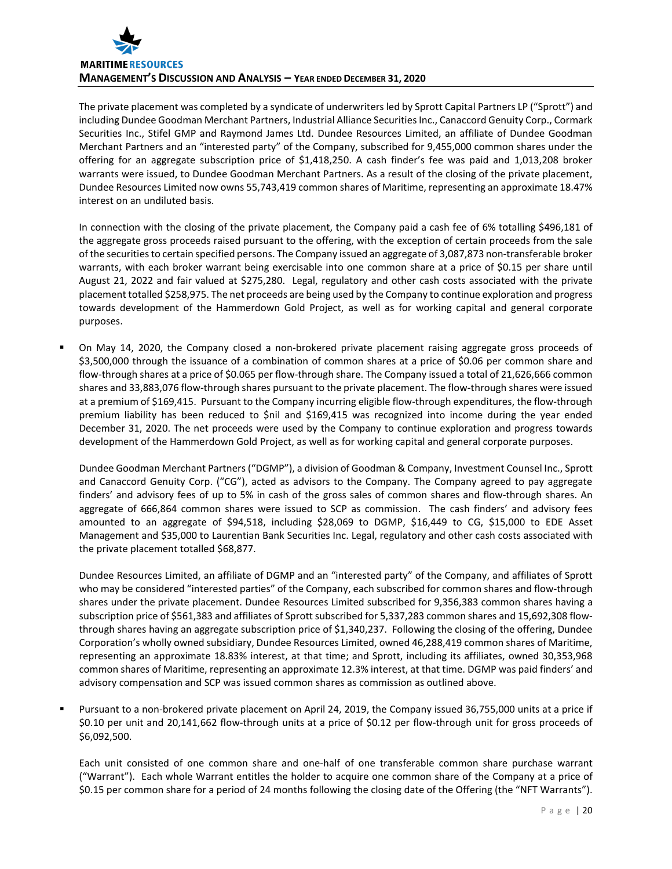

The private placement was completed by a syndicate of underwriters led by Sprott Capital Partners LP ("Sprott") and including Dundee Goodman Merchant Partners, Industrial Alliance Securities Inc., Canaccord Genuity Corp., Cormark Securities Inc., Stifel GMP and Raymond James Ltd. Dundee Resources Limited, an affiliate of Dundee Goodman Merchant Partners and an "interested party" of the Company, subscribed for 9,455,000 common shares under the offering for an aggregate subscription price of \$1,418,250. A cash finder's fee was paid and 1,013,208 broker warrants were issued, to Dundee Goodman Merchant Partners. As a result of the closing of the private placement, Dundee Resources Limited now owns 55,743,419 common shares of Maritime, representing an approximate 18.47% interest on an undiluted basis.

In connection with the closing of the private placement, the Company paid a cash fee of 6% totalling \$496,181 of the aggregate gross proceeds raised pursuant to the offering, with the exception of certain proceeds from the sale of the securities to certain specified persons. The Company issued an aggregate of 3,087,873 non-transferable broker warrants, with each broker warrant being exercisable into one common share at a price of \$0.15 per share until August 21, 2022 and fair valued at \$275,280. Legal, regulatory and other cash costs associated with the private placement totalled \$258,975. The net proceeds are being used by the Company to continue exploration and progress towards development of the Hammerdown Gold Project, as well as for working capital and general corporate purposes.

 On May 14, 2020, the Company closed a non-brokered private placement raising aggregate gross proceeds of \$3,500,000 through the issuance of a combination of common shares at a price of \$0.06 per common share and flow-through shares at a price of \$0.065 per flow-through share. The Company issued a total of 21,626,666 common shares and 33,883,076 flow-through shares pursuant to the private placement. The flow-through shares were issued at a premium of \$169,415. Pursuant to the Company incurring eligible flow-through expenditures, the flow-through premium liability has been reduced to \$nil and \$169,415 was recognized into income during the year ended December 31, 2020. The net proceeds were used by the Company to continue exploration and progress towards development of the Hammerdown Gold Project, as well as for working capital and general corporate purposes.

Dundee Goodman Merchant Partners ("DGMP"), a division of Goodman & Company, Investment Counsel Inc., Sprott and Canaccord Genuity Corp. ("CG"), acted as advisors to the Company. The Company agreed to pay aggregate finders' and advisory fees of up to 5% in cash of the gross sales of common shares and flow-through shares. An aggregate of 666,864 common shares were issued to SCP as commission. The cash finders' and advisory fees amounted to an aggregate of \$94,518, including \$28,069 to DGMP, \$16,449 to CG, \$15,000 to EDE Asset Management and \$35,000 to Laurentian Bank Securities Inc. Legal, regulatory and other cash costs associated with the private placement totalled \$68,877.

Dundee Resources Limited, an affiliate of DGMP and an "interested party" of the Company, and affiliates of Sprott who may be considered "interested parties" of the Company, each subscribed for common shares and flow-through shares under the private placement. Dundee Resources Limited subscribed for 9,356,383 common shares having a subscription price of \$561,383 and affiliates of Sprott subscribed for 5,337,283 common shares and 15,692,308 flowthrough shares having an aggregate subscription price of \$1,340,237. Following the closing of the offering, Dundee Corporation's wholly owned subsidiary, Dundee Resources Limited, owned 46,288,419 common shares of Maritime, representing an approximate 18.83% interest, at that time; and Sprott, including its affiliates, owned 30,353,968 common shares of Maritime, representing an approximate 12.3% interest, at that time. DGMP was paid finders' and advisory compensation and SCP was issued common shares as commission as outlined above.

 Pursuant to a non-brokered private placement on April 24, 2019, the Company issued 36,755,000 units at a price if \$0.10 per unit and 20,141,662 flow-through units at a price of \$0.12 per flow-through unit for gross proceeds of \$6,092,500.

Each unit consisted of one common share and one-half of one transferable common share purchase warrant ("Warrant"). Each whole Warrant entitles the holder to acquire one common share of the Company at a price of \$0.15 per common share for a period of 24 months following the closing date of the Offering (the "NFT Warrants").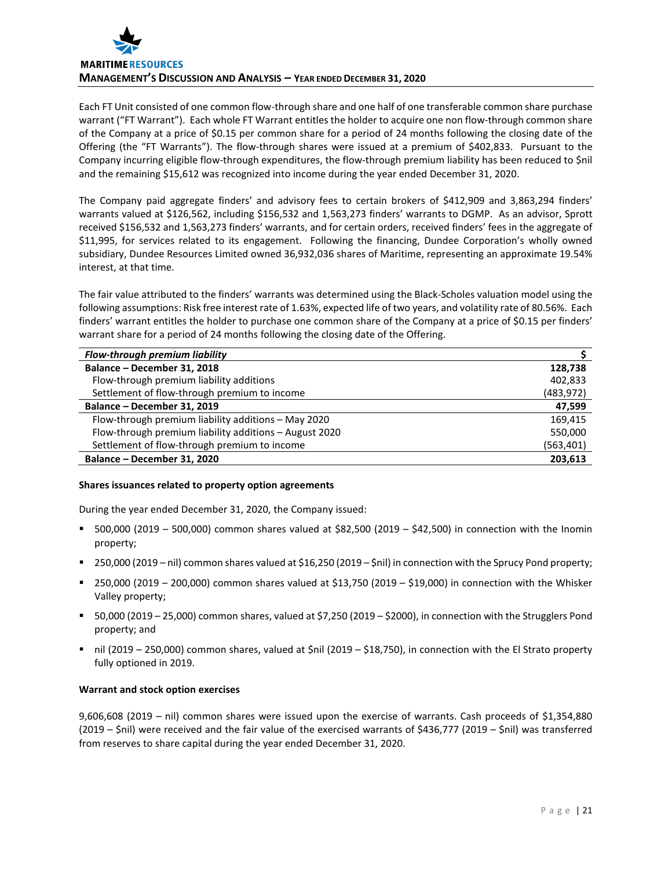

Each FT Unit consisted of one common flow-through share and one half of one transferable common share purchase warrant ("FT Warrant"). Each whole FT Warrant entitles the holder to acquire one non flow-through common share of the Company at a price of \$0.15 per common share for a period of 24 months following the closing date of the Offering (the "FT Warrants"). The flow-through shares were issued at a premium of \$402,833. Pursuant to the Company incurring eligible flow-through expenditures, the flow-through premium liability has been reduced to \$nil and the remaining \$15,612 was recognized into income during the year ended December 31, 2020.

The Company paid aggregate finders' and advisory fees to certain brokers of \$412,909 and 3,863,294 finders' warrants valued at \$126,562, including \$156,532 and 1,563,273 finders' warrants to DGMP. As an advisor, Sprott received \$156,532 and 1,563,273 finders' warrants, and for certain orders, received finders' fees in the aggregate of \$11,995, for services related to its engagement. Following the financing, Dundee Corporation's wholly owned subsidiary, Dundee Resources Limited owned 36,932,036 shares of Maritime, representing an approximate 19.54% interest, at that time.

The fair value attributed to the finders' warrants was determined using the Black-Scholes valuation model using the following assumptions: Risk free interest rate of 1.63%, expected life of two years, and volatility rate of 80.56%. Each finders' warrant entitles the holder to purchase one common share of the Company at a price of \$0.15 per finders' warrant share for a period of 24 months following the closing date of the Offering.

| Flow-through premium liability                         |            |
|--------------------------------------------------------|------------|
| Balance - December 31, 2018                            | 128,738    |
| Flow-through premium liability additions               | 402,833    |
| Settlement of flow-through premium to income           | (483, 972) |
| Balance - December 31, 2019                            | 47,599     |
| Flow-through premium liability additions - May 2020    | 169,415    |
| Flow-through premium liability additions - August 2020 | 550,000    |
| Settlement of flow-through premium to income           | (563,401)  |
| Balance - December 31, 2020                            | 203,613    |

### **Shares issuances related to property option agreements**

During the year ended December 31, 2020, the Company issued:

- $=$  500,000 (2019 500,000) common shares valued at \$82,500 (2019 \$42,500) in connection with the Inomin property;
- 250,000 (2019 nil) common shares valued at \$16,250 (2019 \$nil) in connection with the Sprucy Pond property;
- 250,000 (2019 200,000) common shares valued at \$13,750 (2019 \$19,000) in connection with the Whisker Valley property;
- 50,000 (2019 25,000) common shares, valued at \$7,250 (2019 \$2000), in connection with the Strugglers Pond property; and
- nil (2019 250,000) common shares, valued at \$nil (2019 \$18,750), in connection with the El Strato property fully optioned in 2019.

### **Warrant and stock option exercises**

9,606,608 (2019 – nil) common shares were issued upon the exercise of warrants. Cash proceeds of \$1,354,880 (2019 – \$nil) were received and the fair value of the exercised warrants of \$436,777 (2019 – \$nil) was transferred from reserves to share capital during the year ended December 31, 2020.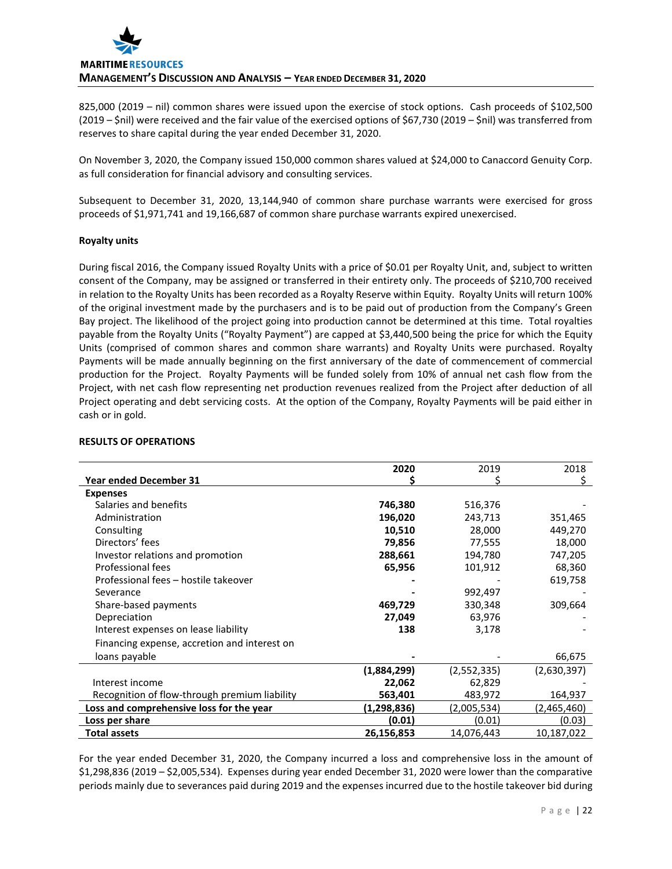825,000 (2019 – nil) common shares were issued upon the exercise of stock options. Cash proceeds of \$102,500 (2019 – \$nil) were received and the fair value of the exercised options of \$67,730 (2019 – \$nil) was transferred from reserves to share capital during the year ended December 31, 2020.

On November 3, 2020, the Company issued 150,000 common shares valued at \$24,000 to Canaccord Genuity Corp. as full consideration for financial advisory and consulting services.

Subsequent to December 31, 2020, 13,144,940 of common share purchase warrants were exercised for gross proceeds of \$1,971,741 and 19,166,687 of common share purchase warrants expired unexercised.

### **Royalty units**

During fiscal 2016, the Company issued Royalty Units with a price of \$0.01 per Royalty Unit, and, subject to written consent of the Company, may be assigned or transferred in their entirety only. The proceeds of \$210,700 received in relation to the Royalty Units has been recorded as a Royalty Reserve within Equity. Royalty Units will return 100% of the original investment made by the purchasers and is to be paid out of production from the Company's Green Bay project. The likelihood of the project going into production cannot be determined at this time. Total royalties payable from the Royalty Units ("Royalty Payment") are capped at \$3,440,500 being the price for which the Equity Units (comprised of common shares and common share warrants) and Royalty Units were purchased. Royalty Payments will be made annually beginning on the first anniversary of the date of commencement of commercial production for the Project. Royalty Payments will be funded solely from 10% of annual net cash flow from the Project, with net cash flow representing net production revenues realized from the Project after deduction of all Project operating and debt servicing costs. At the option of the Company, Royalty Payments will be paid either in cash or in gold.

|                                               | 2020        | 2019        | 2018        |
|-----------------------------------------------|-------------|-------------|-------------|
| <b>Year ended December 31</b>                 |             |             | S.          |
| <b>Expenses</b>                               |             |             |             |
| Salaries and benefits                         | 746,380     | 516,376     |             |
| Administration                                | 196,020     | 243,713     | 351,465     |
| Consulting                                    | 10,510      | 28,000      | 449,270     |
| Directors' fees                               | 79,856      | 77,555      | 18,000      |
| Investor relations and promotion              | 288,661     | 194,780     | 747,205     |
| Professional fees                             | 65,956      | 101,912     | 68,360      |
| Professional fees - hostile takeover          |             |             | 619,758     |
| Severance                                     |             | 992,497     |             |
| Share-based payments                          | 469,729     | 330,348     | 309,664     |
| Depreciation                                  | 27,049      | 63,976      |             |
| Interest expenses on lease liability          | 138         | 3,178       |             |
| Financing expense, accretion and interest on  |             |             |             |
| loans payable                                 |             |             | 66,675      |
|                                               | (1,884,299) | (2,552,335) | (2,630,397) |
| Interest income                               | 22,062      | 62,829      |             |
| Recognition of flow-through premium liability | 563,401     | 483,972     | 164,937     |
| Loss and comprehensive loss for the year      | (1,298,836) | (2,005,534) | (2,465,460) |
| Loss per share                                | (0.01)      | (0.01)      | (0.03)      |
| <b>Total assets</b>                           | 26,156,853  | 14,076,443  | 10,187,022  |

## **RESULTS OF OPERATIONS**

For the year ended December 31, 2020, the Company incurred a loss and comprehensive loss in the amount of \$1,298,836 (2019 – \$2,005,534). Expenses during year ended December 31, 2020 were lower than the comparative periods mainly due to severances paid during 2019 and the expenses incurred due to the hostile takeover bid during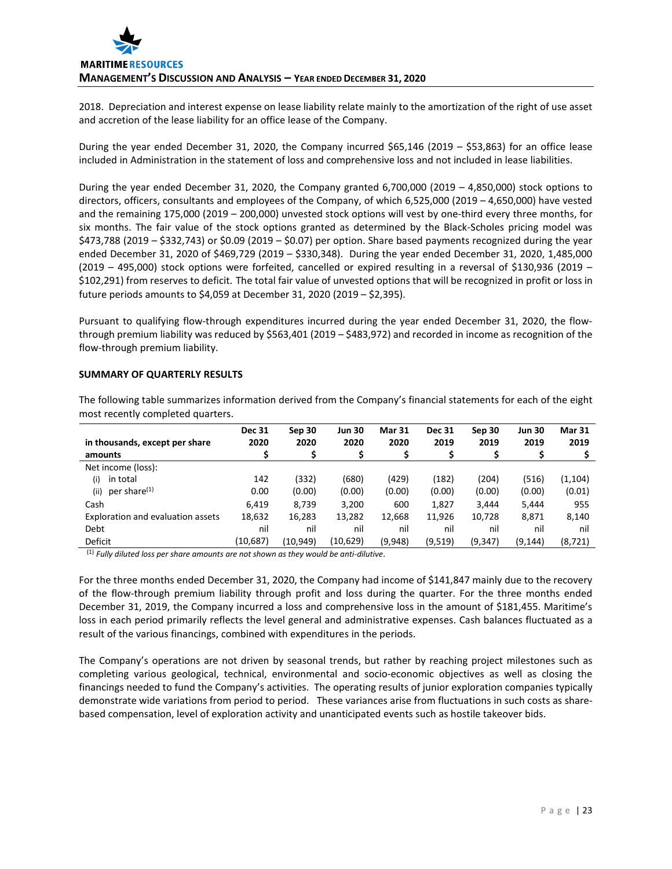2018. Depreciation and interest expense on lease liability relate mainly to the amortization of the right of use asset and accretion of the lease liability for an office lease of the Company.

During the year ended December 31, 2020, the Company incurred \$65,146 (2019 – \$53,863) for an office lease included in Administration in the statement of loss and comprehensive loss and not included in lease liabilities.

During the year ended December 31, 2020, the Company granted 6,700,000 (2019 – 4,850,000) stock options to directors, officers, consultants and employees of the Company, of which 6,525,000 (2019 – 4,650,000) have vested and the remaining 175,000 (2019 – 200,000) unvested stock options will vest by one-third every three months, for six months. The fair value of the stock options granted as determined by the Black-Scholes pricing model was \$473,788 (2019 – \$332,743) or \$0.09 (2019 – \$0.07) per option. Share based payments recognized during the year ended December 31, 2020 of \$469,729 (2019 – \$330,348). During the year ended December 31, 2020, 1,485,000 (2019 – 495,000) stock options were forfeited, cancelled or expired resulting in a reversal of \$130,936 (2019 – \$102,291) from reserves to deficit. The total fair value of unvested options that will be recognized in profit or loss in future periods amounts to \$4,059 at December 31, 2020 (2019 – \$2,395).

Pursuant to qualifying flow-through expenditures incurred during the year ended December 31, 2020, the flowthrough premium liability was reduced by \$563,401 (2019 – \$483,972) and recorded in income as recognition of the flow-through premium liability.

### **SUMMARY OF QUARTERLY RESULTS**

The following table summarizes information derived from the Company's financial statements for each of the eight most recently completed quarters.

|                                   | <b>Dec 31</b> | Sep 30    | <b>Jun 30</b> | <b>Mar 31</b> | <b>Dec 31</b> | Sep 30   | <b>Jun 30</b> | <b>Mar 31</b> |
|-----------------------------------|---------------|-----------|---------------|---------------|---------------|----------|---------------|---------------|
| in thousands, except per share    | 2020          | 2020      | 2020          | 2020          | 2019          | 2019     | 2019          | 2019          |
| amounts                           |               |           |               |               |               |          |               |               |
| Net income (loss):                |               |           |               |               |               |          |               |               |
| in total<br>(i)                   | 142           | (332)     | (680)         | (429)         | (182)         | (204)    | (516)         | (1, 104)      |
| per share <sup>(1)</sup><br>(iii) | 0.00          | (0.00)    | (0.00)        | (0.00)        | (0.00)        | (0.00)   | (0.00)        | (0.01)        |
| Cash                              | 6,419         | 8.739     | 3,200         | 600           | 1,827         | 3,444    | 5,444         | 955           |
| Exploration and evaluation assets | 18,632        | 16,283    | 13,282        | 12,668        | 11,926        | 10,728   | 8,871         | 8,140         |
| Debt                              | nil           | nil       | nil           | nil           | nil           | nil      | nil           | nil           |
| Deficit                           | (10,687)      | (10, 949) | (10,629)      | (9,948)       | (9,519)       | (9, 347) | (9, 144)      | (8, 721)      |

(1) *Fully diluted loss per share amounts are not shown as they would be anti-dilutive*.

For the three months ended December 31, 2020, the Company had income of \$141,847 mainly due to the recovery of the flow-through premium liability through profit and loss during the quarter. For the three months ended December 31, 2019, the Company incurred a loss and comprehensive loss in the amount of \$181,455. Maritime's loss in each period primarily reflects the level general and administrative expenses. Cash balances fluctuated as a result of the various financings, combined with expenditures in the periods.

The Company's operations are not driven by seasonal trends, but rather by reaching project milestones such as completing various geological, technical, environmental and socio-economic objectives as well as closing the financings needed to fund the Company's activities. The operating results of junior exploration companies typically demonstrate wide variations from period to period. These variances arise from fluctuations in such costs as sharebased compensation, level of exploration activity and unanticipated events such as hostile takeover bids.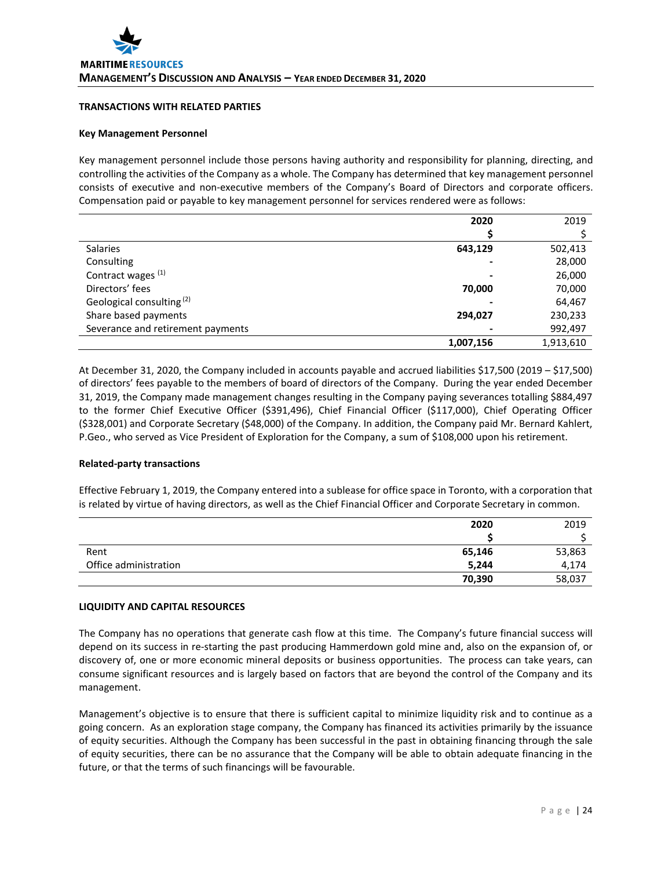### **TRANSACTIONS WITH RELATED PARTIES**

#### **Key Management Personnel**

Key management personnel include those persons having authority and responsibility for planning, directing, and controlling the activities of the Company as a whole. The Company has determined that key management personnel consists of executive and non-executive members of the Company's Board of Directors and corporate officers. Compensation paid or payable to key management personnel for services rendered were as follows:

|                                      | 2020      | 2019      |
|--------------------------------------|-----------|-----------|
|                                      |           |           |
| <b>Salaries</b>                      | 643,129   | 502,413   |
| Consulting                           |           | 28,000    |
| Contract wages (1)                   |           | 26,000    |
| Directors' fees                      | 70,000    | 70,000    |
| Geological consulting <sup>(2)</sup> |           | 64,467    |
| Share based payments                 | 294,027   | 230,233   |
| Severance and retirement payments    |           | 992,497   |
|                                      | 1,007,156 | 1,913,610 |

At December 31, 2020, the Company included in accounts payable and accrued liabilities \$17,500 (2019 – \$17,500) of directors' fees payable to the members of board of directors of the Company. During the year ended December 31, 2019, the Company made management changes resulting in the Company paying severances totalling \$884,497 to the former Chief Executive Officer (\$391,496), Chief Financial Officer (\$117,000), Chief Operating Officer (\$328,001) and Corporate Secretary (\$48,000) of the Company. In addition, the Company paid Mr. Bernard Kahlert, P.Geo., who served as Vice President of Exploration for the Company, a sum of \$108,000 upon his retirement.

### **Related-party transactions**

Effective February 1, 2019, the Company entered into a sublease for office space in Toronto, with a corporation that is related by virtue of having directors, as well as the Chief Financial Officer and Corporate Secretary in common.

|                       | 2020   | 2019   |
|-----------------------|--------|--------|
|                       |        |        |
| Rent                  | 65,146 | 53,863 |
| Office administration | 5,244  | 4,174  |
|                       | 70,390 | 58,037 |

### **LIQUIDITY AND CAPITAL RESOURCES**

The Company has no operations that generate cash flow at this time. The Company's future financial success will depend on its success in re-starting the past producing Hammerdown gold mine and, also on the expansion of, or discovery of, one or more economic mineral deposits or business opportunities. The process can take years, can consume significant resources and is largely based on factors that are beyond the control of the Company and its management.

Management's objective is to ensure that there is sufficient capital to minimize liquidity risk and to continue as a going concern. As an exploration stage company, the Company has financed its activities primarily by the issuance of equity securities. Although the Company has been successful in the past in obtaining financing through the sale of equity securities, there can be no assurance that the Company will be able to obtain adequate financing in the future, or that the terms of such financings will be favourable.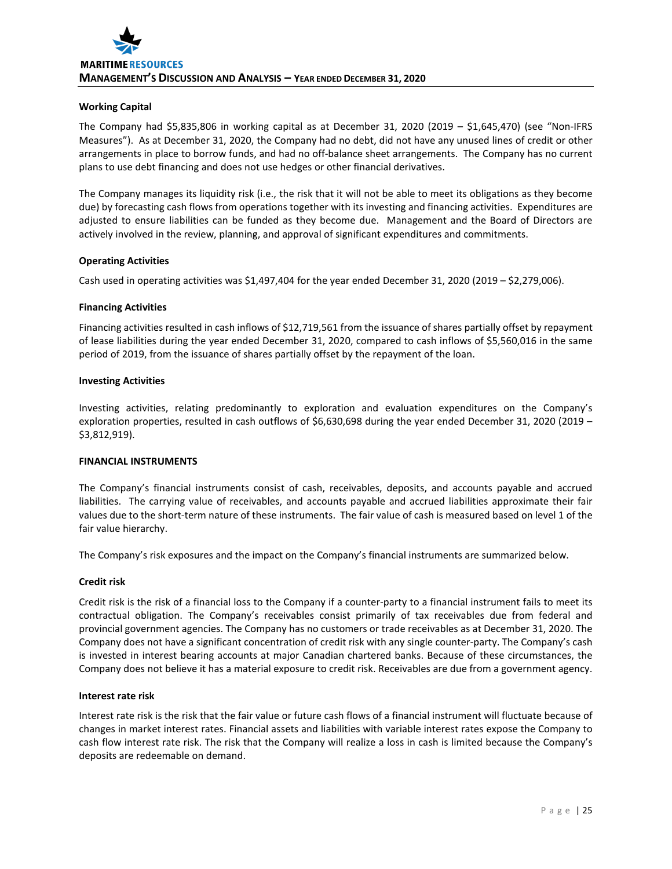## **Working Capital**

The Company had \$5,835,806 in working capital as at December 31, 2020 (2019 – \$1,645,470) (see "Non-IFRS Measures"). As at December 31, 2020, the Company had no debt, did not have any unused lines of credit or other arrangements in place to borrow funds, and had no off-balance sheet arrangements. The Company has no current plans to use debt financing and does not use hedges or other financial derivatives.

The Company manages its liquidity risk (i.e., the risk that it will not be able to meet its obligations as they become due) by forecasting cash flows from operations together with its investing and financing activities. Expenditures are adjusted to ensure liabilities can be funded as they become due. Management and the Board of Directors are actively involved in the review, planning, and approval of significant expenditures and commitments.

### **Operating Activities**

Cash used in operating activities was \$1,497,404 for the year ended December 31, 2020 (2019 – \$2,279,006).

### **Financing Activities**

Financing activities resulted in cash inflows of \$12,719,561 from the issuance of shares partially offset by repayment of lease liabilities during the year ended December 31, 2020, compared to cash inflows of \$5,560,016 in the same period of 2019, from the issuance of shares partially offset by the repayment of the loan.

### **Investing Activities**

Investing activities, relating predominantly to exploration and evaluation expenditures on the Company's exploration properties, resulted in cash outflows of \$6,630,698 during the year ended December 31, 2020 (2019 – \$3,812,919).

### **FINANCIAL INSTRUMENTS**

The Company's financial instruments consist of cash, receivables, deposits, and accounts payable and accrued liabilities. The carrying value of receivables, and accounts payable and accrued liabilities approximate their fair values due to the short-term nature of these instruments. The fair value of cash is measured based on level 1 of the fair value hierarchy.

The Company's risk exposures and the impact on the Company's financial instruments are summarized below.

### **Credit risk**

Credit risk is the risk of a financial loss to the Company if a counter-party to a financial instrument fails to meet its contractual obligation. The Company's receivables consist primarily of tax receivables due from federal and provincial government agencies. The Company has no customers or trade receivables as at December 31, 2020. The Company does not have a significant concentration of credit risk with any single counter-party. The Company's cash is invested in interest bearing accounts at major Canadian chartered banks. Because of these circumstances, the Company does not believe it has a material exposure to credit risk. Receivables are due from a government agency.

#### **Interest rate risk**

Interest rate risk is the risk that the fair value or future cash flows of a financial instrument will fluctuate because of changes in market interest rates. Financial assets and liabilities with variable interest rates expose the Company to cash flow interest rate risk. The risk that the Company will realize a loss in cash is limited because the Company's deposits are redeemable on demand.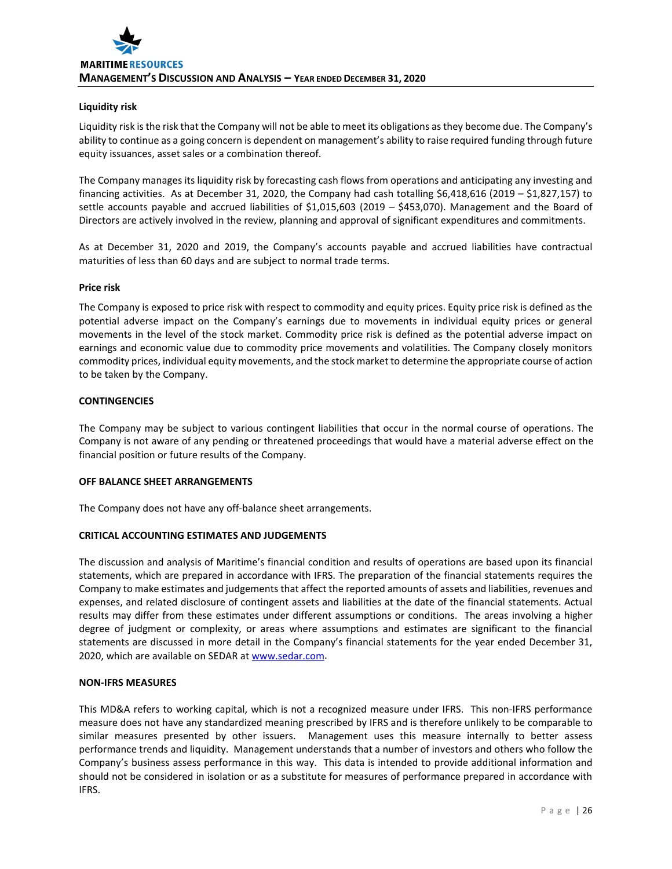## **Liquidity risk**

Liquidity risk is the risk that the Company will not be able to meet its obligations as they become due. The Company's ability to continue as a going concern is dependent on management's ability to raise required funding through future equity issuances, asset sales or a combination thereof.

The Company manages its liquidity risk by forecasting cash flows from operations and anticipating any investing and financing activities. As at December 31, 2020, the Company had cash totalling \$6,418,616 (2019 – \$1,827,157) to settle accounts payable and accrued liabilities of \$1,015,603 (2019 – \$453,070). Management and the Board of Directors are actively involved in the review, planning and approval of significant expenditures and commitments.

As at December 31, 2020 and 2019, the Company's accounts payable and accrued liabilities have contractual maturities of less than 60 days and are subject to normal trade terms.

### **Price risk**

The Company is exposed to price risk with respect to commodity and equity prices. Equity price risk is defined as the potential adverse impact on the Company's earnings due to movements in individual equity prices or general movements in the level of the stock market. Commodity price risk is defined as the potential adverse impact on earnings and economic value due to commodity price movements and volatilities. The Company closely monitors commodity prices, individual equity movements, and the stock market to determine the appropriate course of action to be taken by the Company.

## **CONTINGENCIES**

The Company may be subject to various contingent liabilities that occur in the normal course of operations. The Company is not aware of any pending or threatened proceedings that would have a material adverse effect on the financial position or future results of the Company.

### **OFF BALANCE SHEET ARRANGEMENTS**

The Company does not have any off-balance sheet arrangements.

### **CRITICAL ACCOUNTING ESTIMATES AND JUDGEMENTS**

The discussion and analysis of Maritime's financial condition and results of operations are based upon its financial statements, which are prepared in accordance with IFRS. The preparation of the financial statements requires the Company to make estimates and judgements that affect the reported amounts of assets and liabilities, revenues and expenses, and related disclosure of contingent assets and liabilities at the date of the financial statements. Actual results may differ from these estimates under different assumptions or conditions. The areas involving a higher degree of judgment or complexity, or areas where assumptions and estimates are significant to the financial statements are discussed in more detail in the Company's financial statements for the year ended December 31, 2020, which are available on SEDAR a[t www.sedar.com.](http://www.sedar.com/)

### **NON-IFRS MEASURES**

This MD&A refers to working capital, which is not a recognized measure under IFRS. This non-IFRS performance measure does not have any standardized meaning prescribed by IFRS and is therefore unlikely to be comparable to similar measures presented by other issuers. Management uses this measure internally to better assess performance trends and liquidity. Management understands that a number of investors and others who follow the Company's business assess performance in this way. This data is intended to provide additional information and should not be considered in isolation or as a substitute for measures of performance prepared in accordance with IFRS.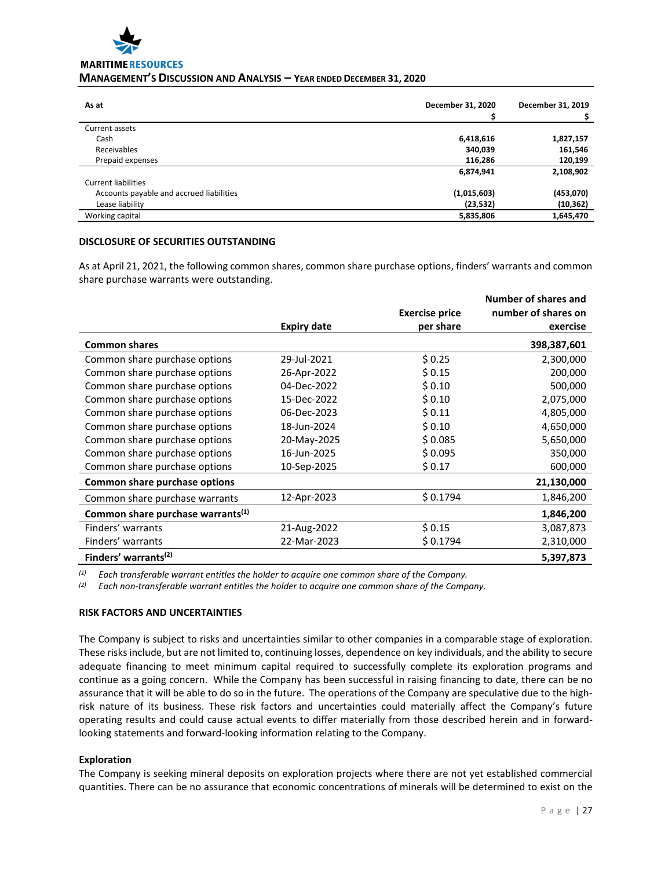

# **MANAGEMENT'S DISCUSSION AND ANALYSIS – YEAR ENDED DECEMBER 31, 2020**

| As at                                    | December 31, 2020 | December 31, 2019 |
|------------------------------------------|-------------------|-------------------|
| Current assets                           |                   |                   |
| Cash                                     | 6,418,616         | 1,827,157         |
| Receivables                              | 340,039           | 161,546           |
| Prepaid expenses                         | 116,286           | 120,199           |
|                                          | 6,874,941         | 2,108,902         |
| Current liabilities                      |                   |                   |
| Accounts payable and accrued liabilities | (1,015,603)       | (453,070)         |
| Lease liability                          | (23, 532)         | (10, 362)         |
| Working capital                          | 5,835,806         | 1,645,470         |

## **DISCLOSURE OF SECURITIES OUTSTANDING**

As at April 21, 2021, the following common shares, common share purchase options, finders' warrants and common share purchase warrants were outstanding.

|                                               |                    | <b>Exercise price</b> | Number of shares and<br>number of shares on |
|-----------------------------------------------|--------------------|-----------------------|---------------------------------------------|
|                                               | <b>Expiry date</b> | per share             | exercise                                    |
| <b>Common shares</b>                          |                    |                       | 398,387,601                                 |
| Common share purchase options                 | 29-Jul-2021        | \$0.25                | 2,300,000                                   |
| Common share purchase options                 | 26-Apr-2022        | \$0.15                | 200,000                                     |
| Common share purchase options                 | 04-Dec-2022        | \$0.10                | 500,000                                     |
| Common share purchase options                 | 15-Dec-2022        | \$0.10                | 2,075,000                                   |
| Common share purchase options                 | 06-Dec-2023        | \$0.11                | 4,805,000                                   |
| Common share purchase options                 | 18-Jun-2024        | \$0.10                | 4,650,000                                   |
| Common share purchase options                 | 20-May-2025        | \$0.085               | 5,650,000                                   |
| Common share purchase options                 | 16-Jun-2025        | \$0.095               | 350,000                                     |
| Common share purchase options                 | 10-Sep-2025        | \$0.17                | 600,000                                     |
| Common share purchase options                 |                    |                       | 21,130,000                                  |
| Common share purchase warrants                | 12-Apr-2023        | \$0.1794              | 1,846,200                                   |
| Common share purchase warrants <sup>(1)</sup> |                    |                       | 1,846,200                                   |
| Finders' warrants                             | 21-Aug-2022        | \$0.15                | 3,087,873                                   |
| Finders' warrants                             | 22-Mar-2023        | \$0.1794              | 2,310,000                                   |
| Finders' warrants <sup>(2)</sup>              |                    |                       | 5,397,873                                   |

*(1) Each transferable warrant entitles the holder to acquire one common share of the Company.*

*(2) Each non-transferable warrant entitles the holder to acquire one common share of the Company.*

## **RISK FACTORS AND UNCERTAINTIES**

The Company is subject to risks and uncertainties similar to other companies in a comparable stage of exploration. These risks include, but are not limited to, continuing losses, dependence on key individuals, and the ability to secure adequate financing to meet minimum capital required to successfully complete its exploration programs and continue as a going concern. While the Company has been successful in raising financing to date, there can be no assurance that it will be able to do so in the future. The operations of the Company are speculative due to the highrisk nature of its business. These risk factors and uncertainties could materially affect the Company's future operating results and could cause actual events to differ materially from those described herein and in forwardlooking statements and forward-looking information relating to the Company.

## **Exploration**

The Company is seeking mineral deposits on exploration projects where there are not yet established commercial quantities. There can be no assurance that economic concentrations of minerals will be determined to exist on the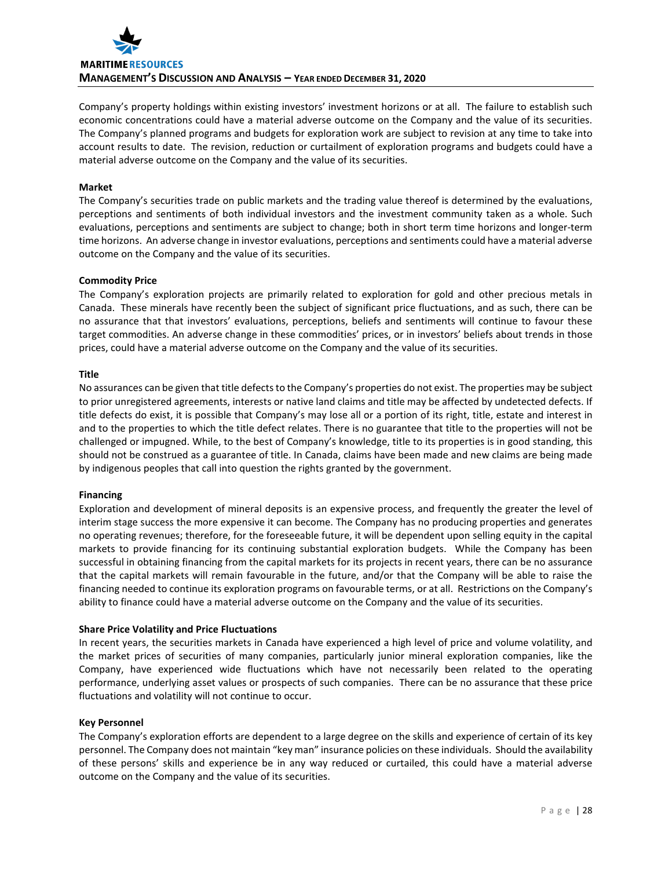

Company's property holdings within existing investors' investment horizons or at all. The failure to establish such economic concentrations could have a material adverse outcome on the Company and the value of its securities. The Company's planned programs and budgets for exploration work are subject to revision at any time to take into account results to date. The revision, reduction or curtailment of exploration programs and budgets could have a material adverse outcome on the Company and the value of its securities.

#### **Market**

The Company's securities trade on public markets and the trading value thereof is determined by the evaluations, perceptions and sentiments of both individual investors and the investment community taken as a whole. Such evaluations, perceptions and sentiments are subject to change; both in short term time horizons and longer-term time horizons. An adverse change in investor evaluations, perceptions and sentiments could have a material adverse outcome on the Company and the value of its securities.

#### **Commodity Price**

The Company's exploration projects are primarily related to exploration for gold and other precious metals in Canada. These minerals have recently been the subject of significant price fluctuations, and as such, there can be no assurance that that investors' evaluations, perceptions, beliefs and sentiments will continue to favour these target commodities. An adverse change in these commodities' prices, or in investors' beliefs about trends in those prices, could have a material adverse outcome on the Company and the value of its securities.

#### **Title**

No assurances can be given that title defects to the Company's properties do not exist. The properties may be subject to prior unregistered agreements, interests or native land claims and title may be affected by undetected defects. If title defects do exist, it is possible that Company's may lose all or a portion of its right, title, estate and interest in and to the properties to which the title defect relates. There is no guarantee that title to the properties will not be challenged or impugned. While, to the best of Company's knowledge, title to its properties is in good standing, this should not be construed as a guarantee of title. In Canada, claims have been made and new claims are being made by indigenous peoples that call into question the rights granted by the government.

### **Financing**

Exploration and development of mineral deposits is an expensive process, and frequently the greater the level of interim stage success the more expensive it can become. The Company has no producing properties and generates no operating revenues; therefore, for the foreseeable future, it will be dependent upon selling equity in the capital markets to provide financing for its continuing substantial exploration budgets. While the Company has been successful in obtaining financing from the capital markets for its projects in recent years, there can be no assurance that the capital markets will remain favourable in the future, and/or that the Company will be able to raise the financing needed to continue its exploration programs on favourable terms, or at all. Restrictions on the Company's ability to finance could have a material adverse outcome on the Company and the value of its securities.

### **Share Price Volatility and Price Fluctuations**

In recent years, the securities markets in Canada have experienced a high level of price and volume volatility, and the market prices of securities of many companies, particularly junior mineral exploration companies, like the Company, have experienced wide fluctuations which have not necessarily been related to the operating performance, underlying asset values or prospects of such companies. There can be no assurance that these price fluctuations and volatility will not continue to occur.

### **Key Personnel**

The Company's exploration efforts are dependent to a large degree on the skills and experience of certain of its key personnel. The Company does not maintain "key man" insurance policies on these individuals. Should the availability of these persons' skills and experience be in any way reduced or curtailed, this could have a material adverse outcome on the Company and the value of its securities.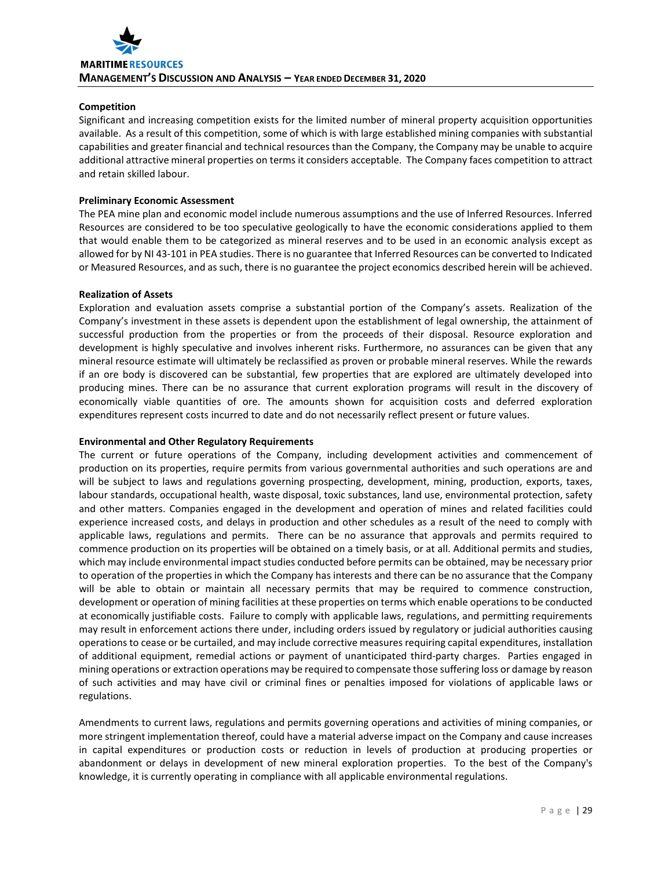## **Competition**

Significant and increasing competition exists for the limited number of mineral property acquisition opportunities available. As a result of this competition, some of which is with large established mining companies with substantial capabilities and greater financial and technical resources than the Company, the Company may be unable to acquire additional attractive mineral properties on terms it considers acceptable. The Company faces competition to attract and retain skilled labour.

## **Preliminary Economic Assessment**

The PEA mine plan and economic model include numerous assumptions and the use of Inferred Resources. Inferred Resources are considered to be too speculative geologically to have the economic considerations applied to them that would enable them to be categorized as mineral reserves and to be used in an economic analysis except as allowed for by NI 43-101 in PEA studies. There is no guarantee that Inferred Resources can be converted to Indicated or Measured Resources, and as such, there is no guarantee the project economics described herein will be achieved.

## **Realization of Assets**

Exploration and evaluation assets comprise a substantial portion of the Company's assets. Realization of the Company's investment in these assets is dependent upon the establishment of legal ownership, the attainment of successful production from the properties or from the proceeds of their disposal. Resource exploration and development is highly speculative and involves inherent risks. Furthermore, no assurances can be given that any mineral resource estimate will ultimately be reclassified as proven or probable mineral reserves. While the rewards if an ore body is discovered can be substantial, few properties that are explored are ultimately developed into producing mines. There can be no assurance that current exploration programs will result in the discovery of economically viable quantities of ore. The amounts shown for acquisition costs and deferred exploration expenditures represent costs incurred to date and do not necessarily reflect present or future values.

### **Environmental and Other Regulatory Requirements**

The current or future operations of the Company, including development activities and commencement of production on its properties, require permits from various governmental authorities and such operations are and will be subject to laws and regulations governing prospecting, development, mining, production, exports, taxes, labour standards, occupational health, waste disposal, toxic substances, land use, environmental protection, safety and other matters. Companies engaged in the development and operation of mines and related facilities could experience increased costs, and delays in production and other schedules as a result of the need to comply with applicable laws, regulations and permits. There can be no assurance that approvals and permits required to commence production on its properties will be obtained on a timely basis, or at all. Additional permits and studies, which may include environmental impact studies conducted before permits can be obtained, may be necessary prior to operation of the properties in which the Company has interests and there can be no assurance that the Company will be able to obtain or maintain all necessary permits that may be required to commence construction, development or operation of mining facilities at these properties on terms which enable operations to be conducted at economically justifiable costs. Failure to comply with applicable laws, regulations, and permitting requirements may result in enforcement actions there under, including orders issued by regulatory or judicial authorities causing operations to cease or be curtailed, and may include corrective measures requiring capital expenditures, installation of additional equipment, remedial actions or payment of unanticipated third-party charges. Parties engaged in mining operations or extraction operations may be required to compensate those suffering loss or damage by reason of such activities and may have civil or criminal fines or penalties imposed for violations of applicable laws or regulations.

Amendments to current laws, regulations and permits governing operations and activities of mining companies, or more stringent implementation thereof, could have a material adverse impact on the Company and cause increases in capital expenditures or production costs or reduction in levels of production at producing properties or abandonment or delays in development of new mineral exploration properties. To the best of the Company's knowledge, it is currently operating in compliance with all applicable environmental regulations.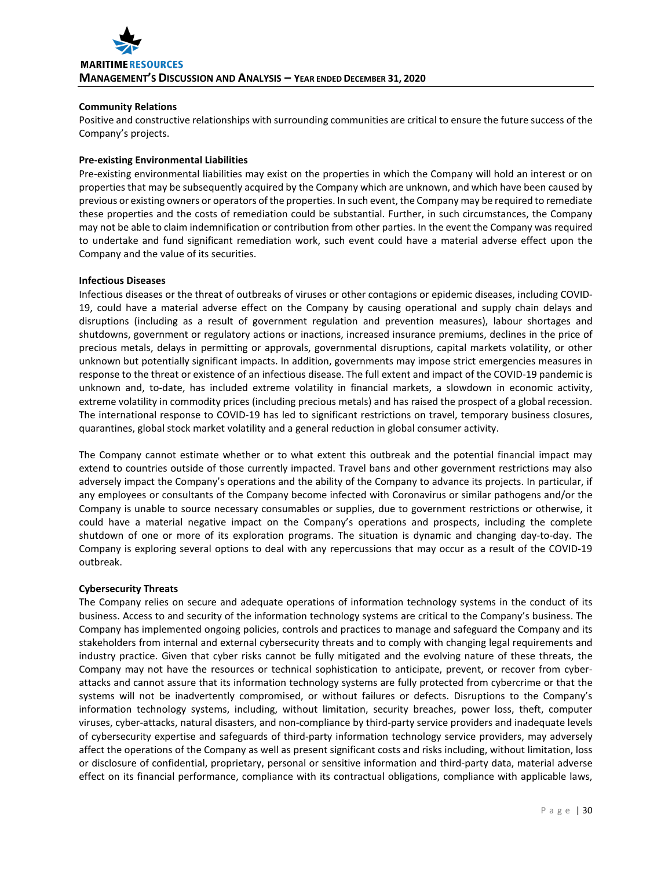## **Community Relations**

Positive and constructive relationships with surrounding communities are critical to ensure the future success of the Company's projects.

## **Pre-existing Environmental Liabilities**

Pre-existing environmental liabilities may exist on the properties in which the Company will hold an interest or on properties that may be subsequently acquired by the Company which are unknown, and which have been caused by previous or existing owners or operators of the properties. In such event, the Company may be required to remediate these properties and the costs of remediation could be substantial. Further, in such circumstances, the Company may not be able to claim indemnification or contribution from other parties. In the event the Company was required to undertake and fund significant remediation work, such event could have a material adverse effect upon the Company and the value of its securities.

### **Infectious Diseases**

Infectious diseases or the threat of outbreaks of viruses or other contagions or epidemic diseases, including COVID-19, could have a material adverse effect on the Company by causing operational and supply chain delays and disruptions (including as a result of government regulation and prevention measures), labour shortages and shutdowns, government or regulatory actions or inactions, increased insurance premiums, declines in the price of precious metals, delays in permitting or approvals, governmental disruptions, capital markets volatility, or other unknown but potentially significant impacts. In addition, governments may impose strict emergencies measures in response to the threat or existence of an infectious disease. The full extent and impact of the COVID-19 pandemic is unknown and, to-date, has included extreme volatility in financial markets, a slowdown in economic activity, extreme volatility in commodity prices (including precious metals) and has raised the prospect of a global recession. The international response to COVID-19 has led to significant restrictions on travel, temporary business closures, quarantines, global stock market volatility and a general reduction in global consumer activity.

The Company cannot estimate whether or to what extent this outbreak and the potential financial impact may extend to countries outside of those currently impacted. Travel bans and other government restrictions may also adversely impact the Company's operations and the ability of the Company to advance its projects. In particular, if any employees or consultants of the Company become infected with Coronavirus or similar pathogens and/or the Company is unable to source necessary consumables or supplies, due to government restrictions or otherwise, it could have a material negative impact on the Company's operations and prospects, including the complete shutdown of one or more of its exploration programs. The situation is dynamic and changing day-to-day. The Company is exploring several options to deal with any repercussions that may occur as a result of the COVID-19 outbreak.

### **Cybersecurity Threats**

The Company relies on secure and adequate operations of information technology systems in the conduct of its business. Access to and security of the information technology systems are critical to the Company's business. The Company has implemented ongoing policies, controls and practices to manage and safeguard the Company and its stakeholders from internal and external cybersecurity threats and to comply with changing legal requirements and industry practice. Given that cyber risks cannot be fully mitigated and the evolving nature of these threats, the Company may not have the resources or technical sophistication to anticipate, prevent, or recover from cyberattacks and cannot assure that its information technology systems are fully protected from cybercrime or that the systems will not be inadvertently compromised, or without failures or defects. Disruptions to the Company's information technology systems, including, without limitation, security breaches, power loss, theft, computer viruses, cyber-attacks, natural disasters, and non-compliance by third-party service providers and inadequate levels of cybersecurity expertise and safeguards of third-party information technology service providers, may adversely affect the operations of the Company as well as present significant costs and risks including, without limitation, loss or disclosure of confidential, proprietary, personal or sensitive information and third-party data, material adverse effect on its financial performance, compliance with its contractual obligations, compliance with applicable laws,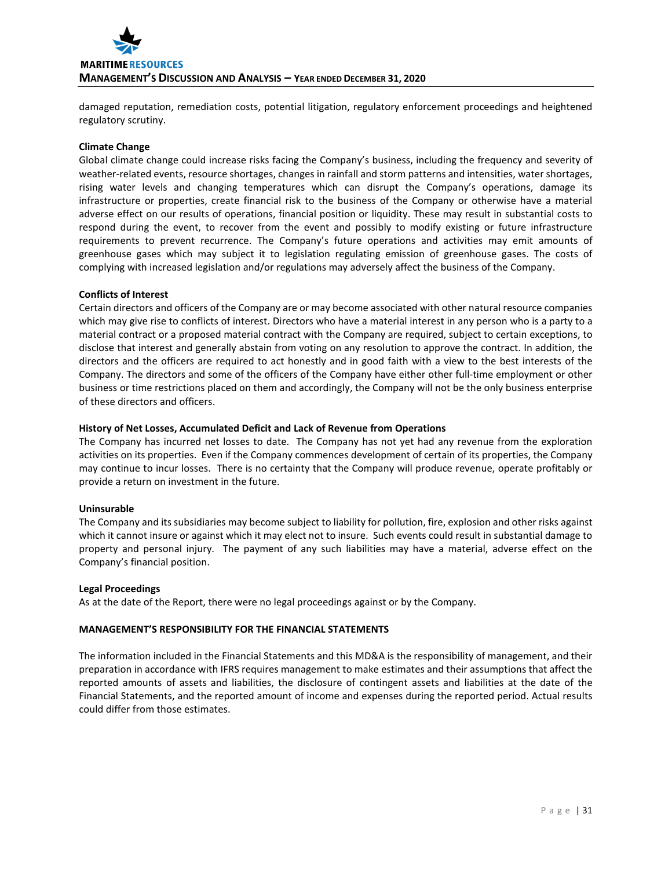

damaged reputation, remediation costs, potential litigation, regulatory enforcement proceedings and heightened regulatory scrutiny.

#### **Climate Change**

Global climate change could increase risks facing the Company's business, including the frequency and severity of weather-related events, resource shortages, changes in rainfall and storm patterns and intensities, water shortages, rising water levels and changing temperatures which can disrupt the Company's operations, damage its infrastructure or properties, create financial risk to the business of the Company or otherwise have a material adverse effect on our results of operations, financial position or liquidity. These may result in substantial costs to respond during the event, to recover from the event and possibly to modify existing or future infrastructure requirements to prevent recurrence. The Company's future operations and activities may emit amounts of greenhouse gases which may subject it to legislation regulating emission of greenhouse gases. The costs of complying with increased legislation and/or regulations may adversely affect the business of the Company.

#### **Conflicts of Interest**

Certain directors and officers of the Company are or may become associated with other natural resource companies which may give rise to conflicts of interest. Directors who have a material interest in any person who is a party to a material contract or a proposed material contract with the Company are required, subject to certain exceptions, to disclose that interest and generally abstain from voting on any resolution to approve the contract. In addition, the directors and the officers are required to act honestly and in good faith with a view to the best interests of the Company. The directors and some of the officers of the Company have either other full-time employment or other business or time restrictions placed on them and accordingly, the Company will not be the only business enterprise of these directors and officers.

### **History of Net Losses, Accumulated Deficit and Lack of Revenue from Operations**

The Company has incurred net losses to date. The Company has not yet had any revenue from the exploration activities on its properties. Even if the Company commences development of certain of its properties, the Company may continue to incur losses. There is no certainty that the Company will produce revenue, operate profitably or provide a return on investment in the future.

### **Uninsurable**

The Company and its subsidiaries may become subject to liability for pollution, fire, explosion and other risks against which it cannot insure or against which it may elect not to insure. Such events could result in substantial damage to property and personal injury. The payment of any such liabilities may have a material, adverse effect on the Company's financial position.

### **Legal Proceedings**

As at the date of the Report, there were no legal proceedings against or by the Company.

### **MANAGEMENT'S RESPONSIBILITY FOR THE FINANCIAL STATEMENTS**

The information included in the Financial Statements and this MD&A is the responsibility of management, and their preparation in accordance with IFRS requires management to make estimates and their assumptions that affect the reported amounts of assets and liabilities, the disclosure of contingent assets and liabilities at the date of the Financial Statements, and the reported amount of income and expenses during the reported period. Actual results could differ from those estimates.